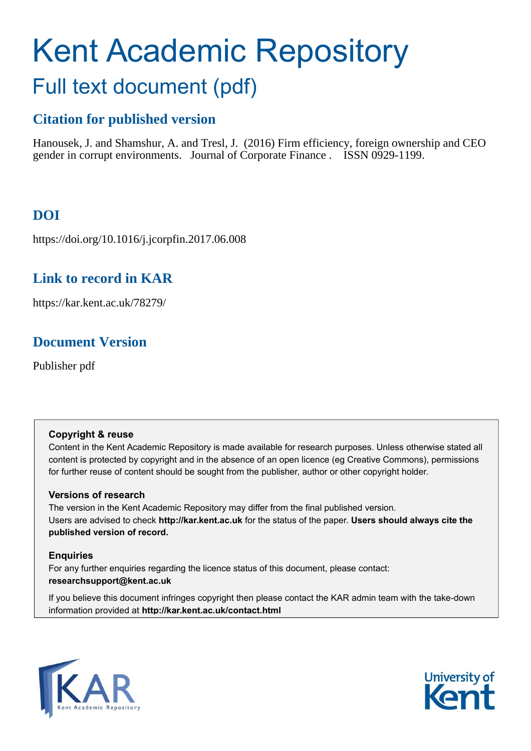# Kent Academic Repository Full text document (pdf)

## **Citation for published version**

Hanousek, J. and Shamshur, A. and Tresl, J. (2016) Firm efficiency, foreign ownership and CEO gender in corrupt environments. Journal of Corporate Finance . ISSN 0929-1199.

## **DOI**

https://doi.org/10.1016/j.jcorpfin.2017.06.008

## **Link to record in KAR**

https://kar.kent.ac.uk/78279/

## **Document Version**

Publisher pdf

### **Copyright & reuse**

Content in the Kent Academic Repository is made available for research purposes. Unless otherwise stated all content is protected by copyright and in the absence of an open licence (eg Creative Commons), permissions for further reuse of content should be sought from the publisher, author or other copyright holder.

### **Versions of research**

The version in the Kent Academic Repository may differ from the final published version. Users are advised to check **http://kar.kent.ac.uk** for the status of the paper. **Users should always cite the published version of record.**

### **Enquiries**

For any further enquiries regarding the licence status of this document, please contact: **researchsupport@kent.ac.uk**

If you believe this document infringes copyright then please contact the KAR admin team with the take-down information provided at **http://kar.kent.ac.uk/contact.html**



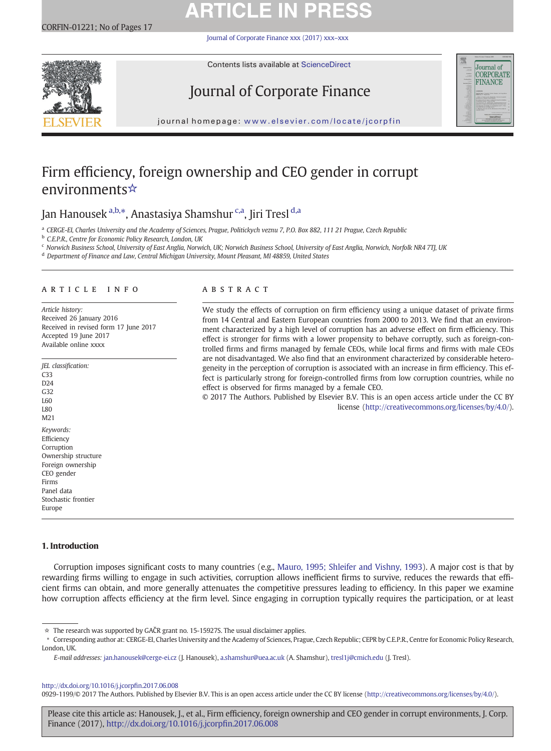## **ARTICLE IN PRESS**

[Journal of Corporate Finance xxx \(2017\) xxx](http://dx.doi.org/10.1016/j.jcorpfin.2017.06.008)–xxx



Contents lists available at ScienceDirect

## Journal of Corporate Finance



journal homepage: www.elsevier.com/locate/jcorp/locate/jcorp/locate/jcorp/locate/jcorp/locate/jcorp/locate/jcorp/

## Firm efficiency, foreign ownership and CEO gender in corrupt environments☆

Jan Hanousek a,b,\*, Anastasiya Shamshur<sup>c,a</sup>, Jiri Tresl<sup>d,a</sup>

<sup>a</sup> CERGE-EI, Charles University and the Academy of Sciences, Prague, Politickych veznu 7, P.O. Box 882, 111 21 Prague, Czech Republic

b C.E.P.R., Centre for Economic Policy Research, London, UK

<sup>c</sup> Norwich Business School, University of East Anglia, Norwich, UK; Norwich Business School, University of East Anglia, Norwich, Norfolk NR4 7TJ, UK

<sup>d</sup> Department of Finance and Law, Central Michigan University, Mount Pleasant, MI 48859, United States

### article info abstract

Article history: Received 26 January 2016 Received in revised form 17 June 2017 Accepted 19 June 2017 Available online xxxx

JEL classification: C33 D24 G32 L60 L80 M21 Keywords: Efficiency Corruption Ownership structure Foreign ownership CEO gender Firms Panel data Stochastic frontier Europe

### 1. Introduction

Corruption imposes significant costs to many countries (e.g., Mauro, 1995; Shleifer and Vishny, 1993). A major cost is that by rewarding firms willing to engage in such activities, corruption allows inefficient firms to survive, reduces the rewards that efficient firms can obtain, and more generally attenuates the competitive pressures leading to efficiency. In this paper we examine how corruption affects efficiency at the firm level. Since engaging in corruption typically requires the participation, or at least

[http://dx.doi.org/10.1016/j.jcorp](http://dx.doi.org/10.1016/j.jcorpfin.2017.06.008)fin.2017.06.008

0929-1199/© 2017 The Authors. Published by Elsevier B.V. This is an open access article under the CC BY license (http://creativecommons.org/licenses/by/4.0/).

Please cite this article as: Hanousek, J., et al., Firm efficiency, foreign ownership and CEO gender in corrupt environments, J. Corp. Finance (2017), [http://dx.doi.org/10.1016/j.jcorp](http://dx.doi.org/10.1016/j.jcorpfin.2017.06.008)fin.2017.06.008

We study the effects of corruption on firm efficiency using a unique dataset of private firms from 14 Central and Eastern European countries from 2000 to 2013. We find that an environment characterized by a high level of corruption has an adverse effect on firm efficiency. This effect is stronger for firms with a lower propensity to behave corruptly, such as foreign-controlled firms and firms managed by female CEOs, while local firms and firms with male CEOs are not disadvantaged. We also find that an environment characterized by considerable heterogeneity in the perception of corruption is associated with an increase in firm efficiency. This effect is particularly strong for foreign-controlled firms from low corruption countries, while no effect is observed for firms managed by a female CEO.

© 2017 The Authors. Published by Elsevier B.V. This is an open access article under the CC BY license (http://creativecommons.org/licenses/by/4.0/).

 $\dot{\tau}$  The research was supported by GAČR grant no. 15-15927S. The usual disclaimer applies.

<sup>⁎</sup> Corresponding author at: CERGE-EI, Charles University and the Academy of Sciences, Prague, Czech Republic; CEPR by C.E.P.R., Centre for Economic Policy Research, London, UK.

E-mail addresses: [jan.hanousek@cerge-ei.cz](mailto:jan.hanousek@cerge-ei.cz) (J. Hanousek), [a.shamshur@uea.ac.uk](mailto:a.shamshur@uea.ac.uk) (A. Shamshur), [tresl1j@cmich.edu](mailto:tresl1j@cmich.edu) (J. Tresl).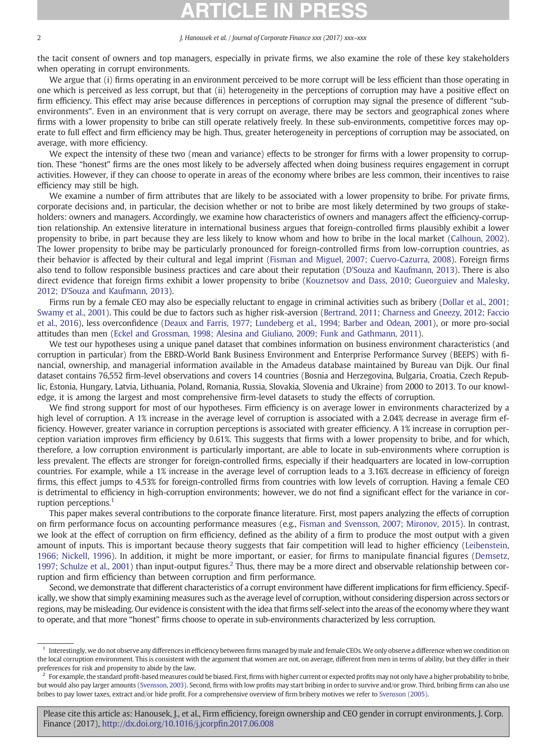the tacit consent of owners and top managers, especially in private firms, we also examine the role of these key stakeholders when operating in corrupt environments.

We argue that (i) firms operating in an environment perceived to be more corrupt will be less efficient than those operating in one which is perceived as less corrupt, but that (ii) heterogeneity in the perceptions of corruption may have a positive effect on firm efficiency. This effect may arise because differences in perceptions of corruption may signal the presence of different "subenvironments". Even in an environment that is very corrupt on average, there may be sectors and geographical zones where firms with a lower propensity to bribe can still operate relatively freely. In these sub-environments, competitive forces may operate to full effect and firm efficiency may be high. Thus, greater heterogeneity in perceptions of corruption may be associated, on average, with more efficiency.

We expect the intensity of these two (mean and variance) effects to be stronger for firms with a lower propensity to corruption. These "honest" firms are the ones most likely to be adversely affected when doing business requires engagement in corrupt activities. However, if they can choose to operate in areas of the economy where bribes are less common, their incentives to raise efficiency may still be high.

We examine a number of firm attributes that are likely to be associated with a lower propensity to bribe. For private firms, corporate decisions and, in particular, the decision whether or not to bribe are most likely determined by two groups of stakeholders: owners and managers. Accordingly, we examine how characteristics of owners and managers affect the efficiency-corruption relationship. An extensive literature in international business argues that foreign-controlled firms plausibly exhibit a lower propensity to bribe, in part because they are less likely to know whom and how to bribe in the local market (Calhoun, 2002). The lower propensity to bribe may be particularly pronounced for foreign-controlled firms from low-corruption countries, as their behavior is affected by their cultural and legal imprint (Fisman and Miguel, 2007; Cuervo-Cazurra, 2008). Foreign firms also tend to follow responsible business practices and care about their reputation (D'Souza and Kaufmann, 2013). There is also direct evidence that foreign firms exhibit a lower propensity to bribe (Kouznetsov and Dass, 2010; Gueorguiev and Malesky, 2012; D'Souza and Kaufmann, 2013).

Firms run by a female CEO may also be especially reluctant to engage in criminal activities such as bribery (Dollar et al., 2001; Swamy et al., 2001). This could be due to factors such as higher risk-aversion (Bertrand, 2011; Charness and Gneezy, 2012; Faccio et al., 2016), less overconfidence (Deaux and Farris, 1977; Lundeberg et al., 1994; Barber and Odean, 2001), or more pro-social attitudes than men (Eckel and Grossman, 1998; Alesina and Giuliano, 2009; Funk and Gathmann, 2011).

We test our hypotheses using a unique panel dataset that combines information on business environment characteristics (and corruption in particular) from the EBRD-World Bank Business Environment and Enterprise Performance Survey (BEEPS) with financial, ownership, and managerial information available in the Amadeus database maintained by Bureau van Dijk. Our final dataset contains 76,552 firm-level observations and covers 14 countries (Bosnia and Herzegovina, Bulgaria, Croatia, Czech Republic, Estonia, Hungary, Latvia, Lithuania, Poland, Romania, Russia, Slovakia, Slovenia and Ukraine) from 2000 to 2013. To our knowledge, it is among the largest and most comprehensive firm-level datasets to study the effects of corruption.

We find strong support for most of our hypotheses. Firm efficiency is on average lower in environments characterized by a high level of corruption. A 1% increase in the average level of corruption is associated with a 2.04% decrease in average firm efficiency. However, greater variance in corruption perceptions is associated with greater efficiency. A 1% increase in corruption perception variation improves firm efficiency by 0.61%. This suggests that firms with a lower propensity to bribe, and for which, therefore, a low corruption environment is particularly important, are able to locate in sub-environments where corruption is less prevalent. The effects are stronger for foreign-controlled firms, especially if their headquarters are located in low-corruption countries. For example, while a 1% increase in the average level of corruption leads to a 3.16% decrease in efficiency of foreign firms, this effect jumps to 4.53% for foreign-controlled firms from countries with low levels of corruption. Having a female CEO is detrimental to efficiency in high-corruption environments; however, we do not find a significant effect for the variance in corruption perceptions.<sup>1</sup>

This paper makes several contributions to the corporate finance literature. First, most papers analyzing the effects of corruption on firm performance focus on accounting performance measures (e.g., Fisman and Svensson, 2007; Mironov, 2015). In contrast, we look at the effect of corruption on firm efficiency, defined as the ability of a firm to produce the most output with a given amount of inputs. This is important because theory suggests that fair competition will lead to higher efficiency (Leibenstein, 1966; Nickell, 1996). In addition, it might be more important, or easier, for firms to manipulate financial figures (Demsetz, 1997; Schulze et al., 2001) than input-output figures.<sup>2</sup> Thus, there may be a more direct and observable relationship between corruption and firm efficiency than between corruption and firm performance.

Second, we demonstrate that different characteristics of a corrupt environment have different implications for firm efficiency. Specifically, we show that simply examining measures such as the average level of corruption, without considering dispersion across sectors or regions, may be misleading. Our evidence is consistent with the idea that firms self-select into the areas of the economy where they want to operate, and that more "honest" firms choose to operate in sub-environments characterized by less corruption.

Interestingly, we do not observe any differences in efficiency between firms managed by male and female CEOs. We only observe a difference when we condition on the local corruption environment. This is consistent with the argument that women are not, on average, different from men in terms of ability, but they differ in their preferences for risk and propensity to abide by the law.

 $^2$  For example, the standard profit-based measures could be biased. First, firms with higher current or expected profits may not only have a higher probability to bribe. but would also pay larger amounts (Svensson, 2003). Second, firms with low profits may start bribing in order to survive and/or grow. Third, bribing firms can also use bribes to pay lower taxes, extract and/or hide profit. For a comprehensive overview of firm bribery motives we refer to Svensson (2005).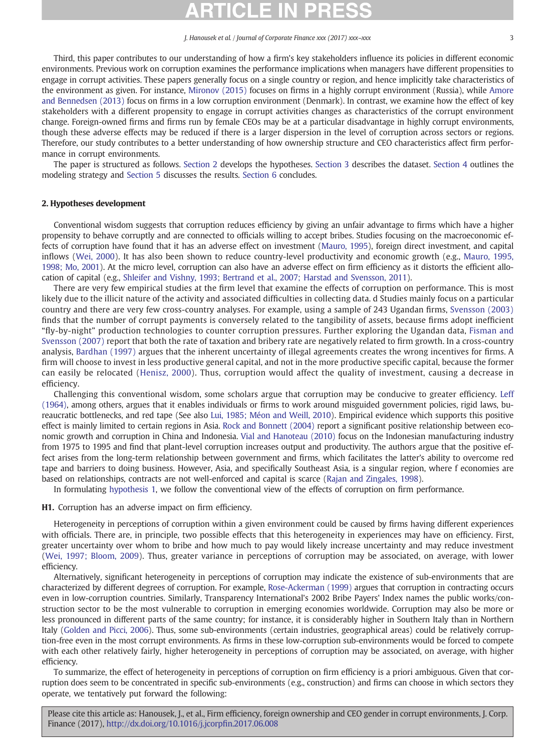Third, this paper contributes to our understanding of how a firm's key stakeholders influence its policies in different economic environments. Previous work on corruption examines the performance implications when managers have different propensities to engage in corrupt activities. These papers generally focus on a single country or region, and hence implicitly take characteristics of the environment as given. For instance, Mironov (2015) focuses on firms in a highly corrupt environment (Russia), while Amore and Bennedsen (2013) focus on firms in a low corruption environment (Denmark). In contrast, we examine how the effect of key stakeholders with a different propensity to engage in corrupt activities changes as characteristics of the corrupt environment change. Foreign-owned firms and firms run by female CEOs may be at a particular disadvantage in highly corrupt environments, though these adverse effects may be reduced if there is a larger dispersion in the level of corruption across sectors or regions. Therefore, our study contributes to a better understanding of how ownership structure and CEO characteristics affect firm performance in corrupt environments.

The paper is structured as follows. Section 2 develops the hypotheses. Section 3 describes the dataset. Section 4 outlines the modeling strategy and Section 5 discusses the results. Section 6 concludes.

### 2. Hypotheses development

Conventional wisdom suggests that corruption reduces efficiency by giving an unfair advantage to firms which have a higher propensity to behave corruptly and are connected to officials willing to accept bribes. Studies focusing on the macroeconomic effects of corruption have found that it has an adverse effect on investment (Mauro, 1995), foreign direct investment, and capital inflows (Wei, 2000). It has also been shown to reduce country-level productivity and economic growth (e.g., Mauro, 1995, 1998; Mo, 2001). At the micro level, corruption can also have an adverse effect on firm efficiency as it distorts the efficient allocation of capital (e.g., Shleifer and Vishny, 1993; Bertrand et al., 2007; Harstad and Svensson, 2011).

There are very few empirical studies at the firm level that examine the effects of corruption on performance. This is most likely due to the illicit nature of the activity and associated difficulties in collecting data. d Studies mainly focus on a particular country and there are very few cross-country analyses. For example, using a sample of 243 Ugandan firms, Svensson (2003) finds that the number of corrupt payments is conversely related to the tangibility of assets, because firms adopt inefficient "fly-by-night" production technologies to counter corruption pressures. Further exploring the Ugandan data, Fisman and Svensson (2007) report that both the rate of taxation and bribery rate are negatively related to firm growth. In a cross-country analysis, Bardhan (1997) argues that the inherent uncertainty of illegal agreements creates the wrong incentives for firms. A firm will choose to invest in less productive general capital, and not in the more productive specific capital, because the former can easily be relocated (Henisz, 2000). Thus, corruption would affect the quality of investment, causing a decrease in efficiency.

Challenging this conventional wisdom, some scholars argue that corruption may be conducive to greater efficiency. Leff (1964), among others, argues that it enables individuals or firms to work around misguided government policies, rigid laws, bureaucratic bottlenecks, and red tape (See also Lui, 1985; Méon and Weill, 2010). Empirical evidence which supports this positive effect is mainly limited to certain regions in Asia. Rock and Bonnett (2004) report a significant positive relationship between economic growth and corruption in China and Indonesia. Vial and Hanoteau (2010) focus on the Indonesian manufacturing industry from 1975 to 1995 and find that plant-level corruption increases output and productivity. The authors argue that the positive effect arises from the long-term relationship between government and firms, which facilitates the latter's ability to overcome red tape and barriers to doing business. However, Asia, and specifically Southeast Asia, is a singular region, where f economies are based on relationships, contracts are not well-enforced and capital is scarce (Rajan and Zingales, 1998).

In formulating hypothesis 1, we follow the conventional view of the effects of corruption on firm performance.

H1. Corruption has an adverse impact on firm efficiency.

Heterogeneity in perceptions of corruption within a given environment could be caused by firms having different experiences with officials. There are, in principle, two possible effects that this heterogeneity in experiences may have on efficiency. First, greater uncertainty over whom to bribe and how much to pay would likely increase uncertainty and may reduce investment (Wei, 1997; Bloom, 2009). Thus, greater variance in perceptions of corruption may be associated, on average, with lower efficiency.

Alternatively, significant heterogeneity in perceptions of corruption may indicate the existence of sub-environments that are characterized by different degrees of corruption. For example, Rose-Ackerman (1999) argues that corruption in contracting occurs even in low-corruption countries. Similarly, Transparency International's 2002 Bribe Payers' Index names the public works/construction sector to be the most vulnerable to corruption in emerging economies worldwide. Corruption may also be more or less pronounced in different parts of the same country; for instance, it is considerably higher in Southern Italy than in Northern Italy (Golden and Picci, 2006). Thus, some sub-environments (certain industries, geographical areas) could be relatively corruption-free even in the most corrupt environments. As firms in these low-corruption sub-environments would be forced to compete with each other relatively fairly, higher heterogeneity in perceptions of corruption may be associated, on average, with higher efficiency.

To summarize, the effect of heterogeneity in perceptions of corruption on firm efficiency is a priori ambiguous. Given that corruption does seem to be concentrated in specific sub-environments (e.g., construction) and firms can choose in which sectors they operate, we tentatively put forward the following: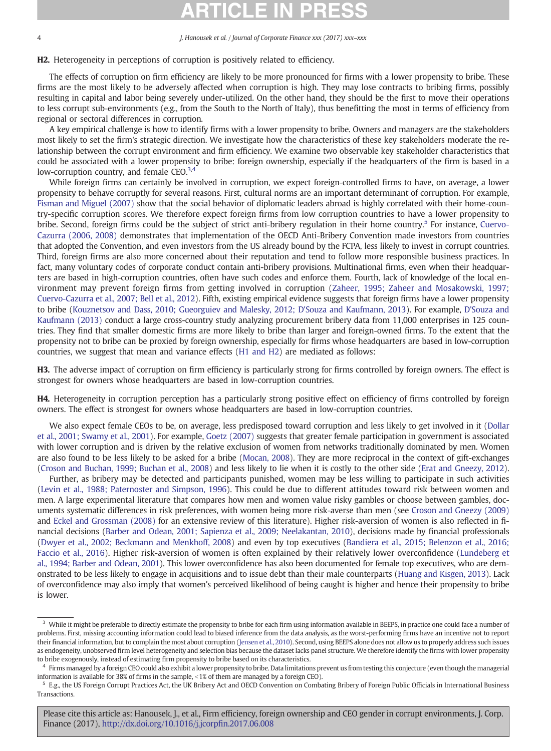H2. Heterogeneity in perceptions of corruption is positively related to efficiency.

The effects of corruption on firm efficiency are likely to be more pronounced for firms with a lower propensity to bribe. These firms are the most likely to be adversely affected when corruption is high. They may lose contracts to bribing firms, possibly resulting in capital and labor being severely under-utilized. On the other hand, they should be the first to move their operations to less corrupt sub-environments (e.g., from the South to the North of Italy), thus benefitting the most in terms of efficiency from regional or sectoral differences in corruption.

A key empirical challenge is how to identify firms with a lower propensity to bribe. Owners and managers are the stakeholders most likely to set the firm's strategic direction. We investigate how the characteristics of these key stakeholders moderate the relationship between the corrupt environment and firm efficiency. We examine two observable key stakeholder characteristics that could be associated with a lower propensity to bribe: foreign ownership, especially if the headquarters of the firm is based in a low-corruption country, and female  $CEO.<sup>3,4</sup>$ 

While foreign firms can certainly be involved in corruption, we expect foreign-controlled firms to have, on average, a lower propensity to behave corruptly for several reasons. First, cultural norms are an important determinant of corruption. For example, Fisman and Miguel (2007) show that the social behavior of diplomatic leaders abroad is highly correlated with their home-country-specific corruption scores. We therefore expect foreign firms from low corruption countries to have a lower propensity to bribe. Second, foreign firms could be the subject of strict anti-bribery regulation in their home country.<sup>5</sup> For instance, Cuervo-Cazurra (2006, 2008) demonstrates that implementation of the OECD Anti-Bribery Convention made investors from countries that adopted the Convention, and even investors from the US already bound by the FCPA, less likely to invest in corrupt countries. Third, foreign firms are also more concerned about their reputation and tend to follow more responsible business practices. In fact, many voluntary codes of corporate conduct contain anti-bribery provisions. Multinational firms, even when their headquarters are based in high-corruption countries, often have such codes and enforce them. Fourth, lack of knowledge of the local environment may prevent foreign firms from getting involved in corruption (Zaheer, 1995; Zaheer and Mosakowski, 1997; Cuervo-Cazurra et al., 2007; Bell et al., 2012). Fifth, existing empirical evidence suggests that foreign firms have a lower propensity to bribe (Kouznetsov and Dass, 2010; Gueorguiev and Malesky, 2012; D'Souza and Kaufmann, 2013). For example, D'Souza and Kaufmann (2013) conduct a large cross-country study analyzing procurement bribery data from 11,000 enterprises in 125 countries. They find that smaller domestic firms are more likely to bribe than larger and foreign-owned firms. To the extent that the propensity not to bribe can be proxied by foreign ownership, especially for firms whose headquarters are based in low-corruption countries, we suggest that mean and variance effects (H1 and H2) are mediated as follows:

H3. The adverse impact of corruption on firm efficiency is particularly strong for firms controlled by foreign owners. The effect is strongest for owners whose headquarters are based in low-corruption countries.

H4. Heterogeneity in corruption perception has a particularly strong positive effect on efficiency of firms controlled by foreign owners. The effect is strongest for owners whose headquarters are based in low-corruption countries.

We also expect female CEOs to be, on average, less predisposed toward corruption and less likely to get involved in it (Dollar et al., 2001; Swamy et al., 2001). For example, Goetz (2007) suggests that greater female participation in government is associated with lower corruption and is driven by the relative exclusion of women from networks traditionally dominated by men. Women are also found to be less likely to be asked for a bribe (Mocan, 2008). They are more reciprocal in the context of gift-exchanges (Croson and Buchan, 1999; Buchan et al., 2008) and less likely to lie when it is costly to the other side (Erat and Gneezy, 2012).

Further, as bribery may be detected and participants punished, women may be less willing to participate in such activities (Levin et al., 1988; Paternoster and Simpson, 1996). This could be due to different attitudes toward risk between women and men. A large experimental literature that compares how men and women value risky gambles or choose between gambles, documents systematic differences in risk preferences, with women being more risk-averse than men (see Croson and Gneezy (2009) and Eckel and Grossman (2008) for an extensive review of this literature). Higher risk-aversion of women is also reflected in financial decisions (Barber and Odean, 2001; Sapienza et al., 2009; Neelakantan, 2010), decisions made by financial professionals (Dwyer et al., 2002; Beckmann and Menkhoff, 2008) and even by top executives (Bandiera et al., 2015; Belenzon et al., 2016; Faccio et al., 2016). Higher risk-aversion of women is often explained by their relatively lower overconfidence (Lundeberg et al., 1994; Barber and Odean, 2001). This lower overconfidence has also been documented for female top executives, who are demonstrated to be less likely to engage in acquisitions and to issue debt than their male counterparts (Huang and Kisgen, 2013). Lack of overconfidence may also imply that women's perceived likelihood of being caught is higher and hence their propensity to bribe is lower.

<sup>&</sup>lt;sup>3</sup> While it might be preferable to directly estimate the propensity to bribe for each firm using information available in BEEPS, in practice one could face a number of problems. First, missing accounting information could lead to biased inference from the data analysis, as the worst-performing firms have an incentive not to report their financial information, but to complain the most about corruption (Jensen et al., 2010). Second, using BEEPS alone does not allow us to properly address such issues as endogeneity, unobserved firm level heterogeneity and selection bias because the dataset lacks panel structure. We therefore identify the firms with lower propensity to bribe exogenously, instead of estimating firm propensity to bribe based on its characteristics.

<sup>&</sup>lt;sup>4</sup> Firms managed by a foreign CEO could also exhibit a lower propensity to bribe. Data limitations prevent us from testing this conjecture (even though the managerial information is available for  $38\%$  of firms in the sample,  $<1\%$  of them are managed by a foreign CEO).

<sup>&</sup>lt;sup>5</sup> E.g., the US Foreign Corrupt Practices Act, the UK Bribery Act and OECD Convention on Combating Bribery of Foreign Public Officials in International Business Transactions.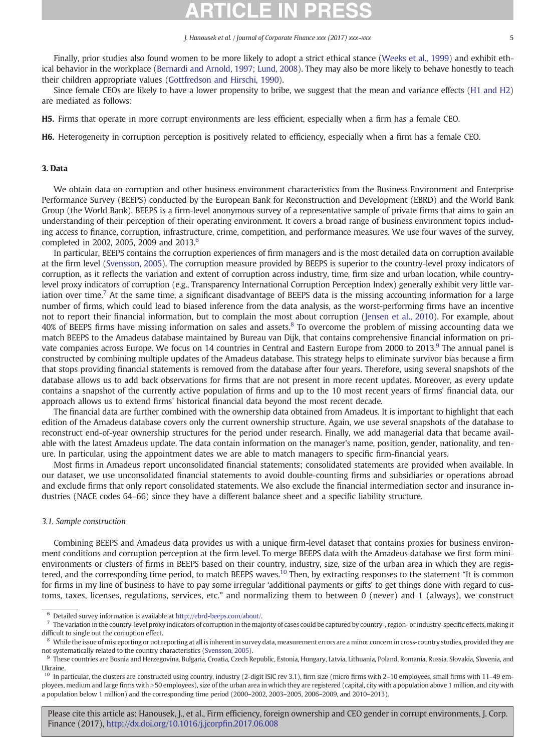Finally, prior studies also found women to be more likely to adopt a strict ethical stance (Weeks et al., 1999) and exhibit ethical behavior in the workplace (Bernardi and Arnold, 1997; Lund, 2008). They may also be more likely to behave honestly to teach their children appropriate values (Gottfredson and Hirschi, 1990).

Since female CEOs are likely to have a lower propensity to bribe, we suggest that the mean and variance effects (H1 and H2) are mediated as follows:

H5. Firms that operate in more corrupt environments are less efficient, especially when a firm has a female CEO.

H6. Heterogeneity in corruption perception is positively related to efficiency, especially when a firm has a female CEO.

### 3. Data

We obtain data on corruption and other business environment characteristics from the Business Environment and Enterprise Performance Survey (BEEPS) conducted by the European Bank for Reconstruction and Development (EBRD) and the World Bank Group (the World Bank). BEEPS is a firm-level anonymous survey of a representative sample of private firms that aims to gain an understanding of their perception of their operating environment. It covers a broad range of business environment topics including access to finance, corruption, infrastructure, crime, competition, and performance measures. We use four waves of the survey, completed in 2002, 2005, 2009 and 2013.<sup>6</sup>

In particular, BEEPS contains the corruption experiences of firm managers and is the most detailed data on corruption available at the firm level (Svensson, 2005). The corruption measure provided by BEEPS is superior to the country-level proxy indicators of corruption, as it reflects the variation and extent of corruption across industry, time, firm size and urban location, while countrylevel proxy indicators of corruption (e.g., Transparency International Corruption Perception Index) generally exhibit very little variation over time.<sup>7</sup> At the same time, a significant disadvantage of BEEPS data is the missing accounting information for a large number of firms, which could lead to biased inference from the data analysis, as the worst-performing firms have an incentive not to report their financial information, but to complain the most about corruption (Jensen et al., 2010). For example, about 40% of BEEPS firms have missing information on sales and assets.<sup>8</sup> To overcome the problem of missing accounting data we match BEEPS to the Amadeus database maintained by Bureau van Dijk, that contains comprehensive financial information on private companies across Europe. We focus on 14 countries in Central and Eastern Europe from 2000 to 2013.<sup>9</sup> The annual panel is constructed by combining multiple updates of the Amadeus database. This strategy helps to eliminate survivor bias because a firm that stops providing financial statements is removed from the database after four years. Therefore, using several snapshots of the database allows us to add back observations for firms that are not present in more recent updates. Moreover, as every update contains a snapshot of the currently active population of firms and up to the 10 most recent years of firms' financial data, our approach allows us to extend firms' historical financial data beyond the most recent decade.

The financial data are further combined with the ownership data obtained from Amadeus. It is important to highlight that each edition of the Amadeus database covers only the current ownership structure. Again, we use several snapshots of the database to reconstruct end-of-year ownership structures for the period under research. Finally, we add managerial data that became available with the latest Amadeus update. The data contain information on the manager's name, position, gender, nationality, and tenure. In particular, using the appointment dates we are able to match managers to specific firm-financial years.

Most firms in Amadeus report unconsolidated financial statements; consolidated statements are provided when available. In our dataset, we use unconsolidated financial statements to avoid double-counting firms and subsidiaries or operations abroad and exclude firms that only report consolidated statements. We also exclude the financial intermediation sector and insurance industries (NACE codes 64–66) since they have a different balance sheet and a specific liability structure.

### 3.1. Sample construction

Combining BEEPS and Amadeus data provides us with a unique firm-level dataset that contains proxies for business environment conditions and corruption perception at the firm level. To merge BEEPS data with the Amadeus database we first form minienvironments or clusters of firms in BEEPS based on their country, industry, size, size of the urban area in which they are registered, and the corresponding time period, to match BEEPS waves.<sup>10</sup> Then, by extracting responses to the statement "It is common for firms in my line of business to have to pay some irregular 'additional payments or gifts' to get things done with regard to customs, taxes, licenses, regulations, services, etc." and normalizing them to between 0 (never) and 1 (always), we construct

<sup>6</sup> Detailed survey information is available at [http://ebrd-beeps.com/about/.](http://ebrd-beeps.com/about)

 $^7$  The variation in the country-level proxy indicators of corruption in the majority of cases could be captured by country-, region- or industry-specific effects, making it difficult to single out the corruption effect.

<sup>&</sup>lt;sup>8</sup> While the issue of misreporting or not reporting at all is inherent in survey data, measurement errors are a minor concern in cross-country studies, provided they are not systematically related to the country characteristics (Svensson, 2005).

<sup>9</sup> These countries are Bosnia and Herzegovina, Bulgaria, Croatia, Czech Republic, Estonia, Hungary, Latvia, Lithuania, Poland, Romania, Russia, Slovakia, Slovenia, and Ukraine.

 $10$  In particular, the clusters are constructed using country, industry (2-digit ISIC rev 3.1), firm size (micro firms with  $2-10$  employees, small firms with  $11-49$  employees, medium and large firms with >50 employees), size of the urban area in which they are registered (capital, city with a population above 1 million, and city with a population below 1 million) and the corresponding time period (2000–2002, 2003–2005, 2006–2009, and 2010–2013).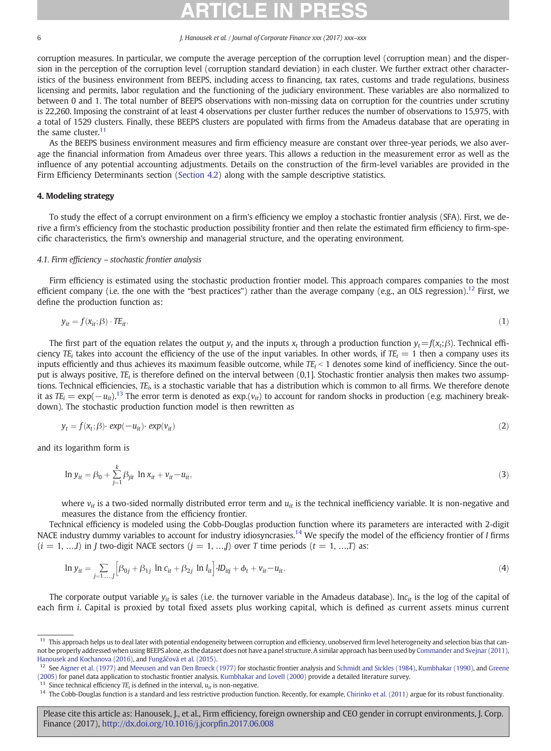corruption measures. In particular, we compute the average perception of the corruption level (corruption mean) and the dispersion in the perception of the corruption level (corruption standard deviation) in each cluster. We further extract other characteristics of the business environment from BEEPS, including access to financing, tax rates, customs and trade regulations, business licensing and permits, labor regulation and the functioning of the judiciary environment. These variables are also normalized to between 0 and 1. The total number of BEEPS observations with non-missing data on corruption for the countries under scrutiny is 22,260. Imposing the constraint of at least 4 observations per cluster further reduces the number of observations to 15,975, with a total of 1529 clusters. Finally, these BEEPS clusters are populated with firms from the Amadeus database that are operating in the same cluster. $11$ 

As the BEEPS business environment measures and firm efficiency measure are constant over three-year periods, we also average the financial information from Amadeus over three years. This allows a reduction in the measurement error as well as the influence of any potential accounting adjustments. Details on the construction of the firm-level variables are provided in the Firm Efficiency Determinants section (Section 4.2) along with the sample descriptive statistics.

### 4. Modeling strategy

To study the effect of a corrupt environment on a firm's efficiency we employ a stochastic frontier analysis (SFA). First, we derive a firm's efficiency from the stochastic production possibility frontier and then relate the estimated firm efficiency to firm-specific characteristics, the firm's ownership and managerial structure, and the operating environment.

### 4.1. Firm efficiency – stochastic frontier analysis

Firm efficiency is estimated using the stochastic production frontier model. This approach compares companies to the most efficient company (i.e. the one with the "best practices") rather than the average company (e.g., an OLS regression).<sup>12</sup> First, we define the production function as:

$$
y_{it} = f(x_{it}; \beta) \cdot TE_{it}. \tag{1}
$$

The first part of the equation relates the output  $v_t$  and the inputs  $x_t$  through a production function  $v_t = f(x_t;B)$ . Technical efficiency TE<sub>i</sub> takes into account the efficiency of the use of the input variables. In other words, if TE<sub>i</sub> = 1 then a company uses its inputs efficiently and thus achieves its maximum feasible outcome, while  $TE_i < 1$  denotes some kind of inefficiency. Since the output is always positive,  $TE_i$  is therefore defined on the interval between  $(0,1]$ . Stochastic frontier analysis then makes two assumptions. Technical efficiencies,  $TE_i$ , is a stochastic variable that has a distribution which is common to all firms. We therefore denote it as  $TE_i = \exp(-u_{it})$ .<sup>13</sup> The error term is denoted as  $\exp(v_{it})$  to account for random shocks in production (e.g. machinery breakdown). The stochastic production function model is then rewritten as

$$
y_t = f(x_t; \beta) \cdot \exp(-u_{it}) \cdot \exp(v_{it}) \tag{2}
$$

and its logarithm form is

$$
\ln y_{it} = \beta_0 + \sum_{j=1}^{k} \beta_{jit} \ln x_{it} + v_{it} - u_{it},
$$
\n(3)

where  $v_{it}$  is a two-sided normally distributed error term and  $u_{it}$  is the technical inefficiency variable. It is non-negative and measures the distance from the efficiency frontier.

Technical efficiency is modeled using the Cobb-Douglas production function where its parameters are interacted with 2-digit NACE industry dummy variables to account for industry idiosyncrasies.<sup>14</sup> We specify the model of the efficiency frontier of  $I$  firms  $(i = 1, ..., l)$  in J two-digit NACE sectors  $(j = 1, ..., J)$  over T time periods  $(t = 1, ..., T)$  as:

$$
\ln y_{it} = \sum_{j=1,...,J} \left[ \beta_{0j} + \beta_{1j} \ln c_{it} + \beta_{2j} \ln l_{it} \right] \cdot ID_{itj} + \phi_t + v_{it} - u_{it}.
$$
\n(4)

The corporate output variable  $y_{it}$  is sales (i.e. the turnover variable in the Amadeus database). Inc<sub>it</sub> is the log of the capital of each firm i. Capital is proxied by total fixed assets plus working capital, which is defined as current assets minus current

<sup>&</sup>lt;sup>11</sup> This approach helps us to deal later with potential endogeneity between corruption and efficiency, unobserved firm level heterogeneity and selection bias that cannot be properly addressed when using BEEPS alone, as the dataset does not have a panel structure. A similar approach has been used by Commander and Svejnar (2011), Hanousek and Kochanova (2016), and Fungáčová et al. (2015).

<sup>&</sup>lt;sup>12</sup> See Aigner et al. (1977) and Meeusen and van Den Broeck (1977) for stochastic frontier analysis and Schmidt and Sickles (1984), Kumbhakar (1990), and Greene (2005) for panel data application to stochastic frontier analysis. Kumbhakar and Lovell (2000) provide a detailed literature survey.<br><sup>13</sup> Since technical efficiency TE<sub>i</sub> is defined in the interval,  $u_{it}$  is non-negative

<sup>&</sup>lt;sup>14</sup> The Cobb-Douglas function is a standard and less restrictive production function. Recently, for example, Chirinko et al. (2011) argue for its robust functionality.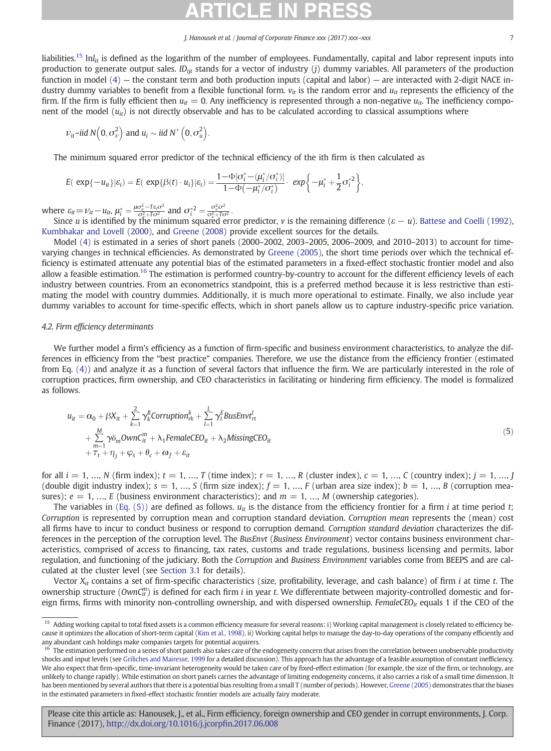liabilities.<sup>15</sup> lnl<sub>it</sub> is defined as the logarithm of the number of employees. Fundamentally, capital and labor represent inputs into production to generate output sales. ID<sub>ijt</sub> stands for a vector of industry  $(j)$  dummy variables. All parameters of the production function in model  $(4)$  – the constant term and both production inputs (capital and labor) – are interacted with 2-digit NACE industry dummy variables to benefit from a flexible functional form.  $v_{it}$  is the random error and  $u_{it}$  represents the efficiency of the firm. If the firm is fully efficient then  $u_{it} = 0$ . Any inefficiency is represented through a non-negative  $u_{it}$ . The inefficiency component of the model  $(u_{it})$  is not directly observable and has to be calculated according to classical assumptions where

$$
\mathcal{V}_{it} \sim \textit{iid } N\Big(0, \sigma_{\mathcal{V}}^2\Big) \text{ and } u_i \sim \textit{iid } N^+\Big(0, \sigma_{u}^2\Big).
$$

The minimum squared error predictor of the technical efficiency of the ith firm is then calculated as

$$
E(\exp\{-u_{it}\}|\varepsilon_{i})=E(\exp\{\beta(t)\cdot u_{i}\}|\varepsilon_{i})=\frac{1-\Phi[\sigma_{i}^{*}-(\mu_{i}^{*}/\sigma_{i}^{*})]}{1-\Phi(-\mu_{i}^{*}/\sigma_{i}^{*})}\cdot \exp\{-\mu_{i}^{*}+\frac{1}{2}\sigma_{i}^{*2}\},
$$

where  $\varepsilon_{it} = \nu_{it} - u_{it}$ ,  $\mu_i^* = \frac{\mu \sigma_v^2 - T \varepsilon_i \sigma^2}{\sigma_v^2 + T \sigma^2}$  and  $\sigma_i^* = \frac{\sigma_v^2 \sigma^2}{\sigma_v^2 + T \sigma^2}$ .<br>Since *u* is identified by the minimum squared error predictor, *v* is the remaining difference ( $\varepsilon - u$ ). Battese Kumbhakar and Lovell (2000), and Greene (2008) provide excellent sources for the details.

Model (4) is estimated in a series of short panels (2000–2002, 2003–2005, 2006–2009, and 2010–2013) to account for timevarying changes in technical efficiencies. As demonstrated by Greene (2005), the short time periods over which the technical efficiency is estimated attenuate any potential bias of the estimated parameters in a fixed-effect stochastic frontier model and also allow a feasible estimation.<sup>16</sup> The estimation is performed country-by-country to account for the different efficiency levels of each industry between countries. From an econometrics standpoint, this is a preferred method because it is less restrictive than estimating the model with country dummies. Additionally, it is much more operational to estimate. Finally, we also include year dummy variables to account for time-specific effects, which in short panels allow us to capture industry-specific price variation.

### 4.2. Firm efficiency determinants

We further model a firm's efficiency as a function of firm-specific and business environment characteristics, to analyze the differences in efficiency from the "best practice" companies. Therefore, we use the distance from the efficiency frontier (estimated from Eq. (4)) and analyze it as a function of several factors that influence the firm. We are particularly interested in the role of corruption practices, firm ownership, and CEO characteristics in facilitating or hindering firm efficiency. The model is formalized as follows.

$$
u_{it} = \alpha_0 + \beta X_{it} + \sum_{k=1}^{2} \gamma_k^B \text{Corruption}_{rk}^k + \sum_{l=1}^{L} \gamma_l^E \text{BusEnv}_{it}^l + \sum_{l=1}^{M} \gamma \delta_m \text{OwnC}_{it}^m + \lambda_1 \text{FemaleECO}_{it} + \lambda_2 \text{MissingCEO}_{it} \tag{5}
$$
  
+  $\tau_t + \eta_j + \varphi_s + \theta_c + \omega_f + \varepsilon_{it}$ 

for all  $i = 1, ..., N$  (firm index);  $t = 1, ..., T$  (time index);  $r = 1, ..., R$  (cluster index),  $c = 1, ..., C$  (country index);  $j = 1, ..., J$ (double digit industry index);  $s = 1, ..., S$  (firm size index);  $f = 1, ..., F$  (urban area size index);  $b = 1, ..., B$  (corruption measures);  $e = 1, ..., E$  (business environment characteristics); and  $m = 1, ..., M$  (ownership categories).

The variables in (Eq. (5)) are defined as follows.  $u_{it}$  is the distance from the efficiency frontier for a firm *i* at time period *t*; Corruption is represented by corruption mean and corruption standard deviation. Corruption mean represents the (mean) cost all firms have to incur to conduct business or respond to corruption demand. Corruption standard deviation characterizes the differences in the perception of the corruption level. The BusEnvt (Business Environment) vector contains business environment characteristics, comprised of access to financing, tax rates, customs and trade regulations, business licensing and permits, labor regulation, and functioning of the judiciary. Both the Corruption and Business Environment variables come from BEEPS and are calculated at the cluster level (see Section 3.1 for details).

Vector  $X_{it}$  contains a set of firm-specific characteristics (size, profitability, leverage, and cash balance) of firm i at time t. The ownership structure (OwnC $^m_{it}$ ) is defined for each firm i in year t. We differentiate between majority-controlled domestic and foreign firms, firms with minority non-controlling ownership, and with dispersed ownership. FemaleCEO $_{it}$  equals 1 if the CEO of the

<sup>&</sup>lt;sup>15</sup> Adding working capital to total fixed assets is a common efficiency measure for several reasons: i) Working capital management is closely related to efficiency because it optimizes the allocation of short-term capital (Kim et al., 1998). ii) Working capital helps to manage the day-to-day operations of the company efficiently and any abundant cash holdings make companies targets for potential acquirers.

<sup>16</sup> The estimation performed on a series of short panels also takes care of the endogeneity concern that arises from the correlation between unobservable productivity shocks and input levels (see Griliches and Mairesse, 1999 for a detailed discussion). This approach has the advantage of a feasible assumption of constant inefficiency. We also expect that firm-specific, time-invariant heterogeneity would be taken care of by fixed-effect estimation (for example, the size of the firm, or technology, are unlikely to change rapidly). While estimation on short panels carries the advantage of limiting endogeneity concerns, it also carries a risk of a small time dimension. It has been mentioned by several authors that there is a potential bias resulting from a small T (number of periods). However, Greene (2005) demonstrates that the biases in the estimated parameters in fixed-effect stochastic frontier models are actually fairy moderate.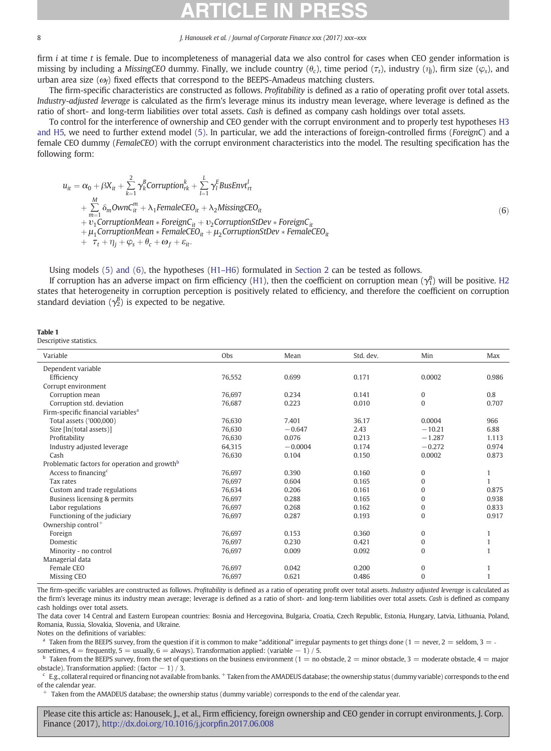firm  $i$  at time  $t$  is female. Due to incompleteness of managerial data we also control for cases when CEO gender information is missing by including a MissingCEO dummy. Finally, we include country  $(\theta_c)$ , time period  $(\tau_t)$ , industry  $(\eta_i)$ , firm size  $(\varphi_s)$ , and urban area size ( $\omega_f$ ) fixed effects that correspond to the BEEPS-Amadeus matching clusters.

The firm-specific characteristics are constructed as follows. Profitability is defined as a ratio of operating profit over total assets. Industry-adjusted leverage is calculated as the firm's leverage minus its industry mean leverage, where leverage is defined as the ratio of short- and long-term liabilities over total assets. Cash is defined as company cash holdings over total assets.

To control for the interference of ownership and CEO gender with the corrupt environment and to properly test hypotheses H3 and H5, we need to further extend model (5). In particular, we add the interactions of foreign-controlled firms (ForeignC) and a female CEO dummy (FemaleCEO) with the corrupt environment characteristics into the model. The resulting specification has the following form:

$$
u_{it} = \alpha_0 + \beta X_{it} + \sum_{k=1}^{2} \gamma_k^B \text{Corruption}_{rk}^k + \sum_{l=1}^{L} \gamma_l^E \text{BusEnv}^l_{rt}
$$
  
+ 
$$
\sum_{m=1}^{M} \delta_m \text{OwnC}_{it}^m + \lambda_1 \text{FemaleCEO}_{it} + \lambda_2 \text{MissingCEO}_{it}
$$
  
+ 
$$
v_1 \text{CorruptionMean} * \text{ForeignC}_{it} + v_2 \text{CorruptionStDev} * \text{ForeignC}_{it}
$$
  
+ 
$$
\mu_1 \text{CorruptionMean} * \text{FemaleCEO}_{it} + \mu_2 \text{CorruptionStDev} * \text{FemaleCEO}_{it}
$$
  
+ 
$$
\tau_t + \eta_j + \varphi_s + \theta_c + \omega_f + \varepsilon_{it}.
$$

 $(6)$ 

Using models (5) and (6), the hypotheses (H1–H6) formulated in Section 2 can be tested as follows.

If corruption has an adverse impact on firm efficiency (H1), then the coefficient on corruption mean  $(\gamma_1^B)$  will be positive. H2 states that heterogeneity in corruption perception is positively related to efficiency, and therefore the coefficient on corruption standard deviation  $(\gamma^{\mathcal{B}}_2)$  is expected to be negative.

|--|--|

Descriptive statistics.

| Variable                                                  | Obs    | Mean      | Std. dev. | Min          | Max   |
|-----------------------------------------------------------|--------|-----------|-----------|--------------|-------|
| Dependent variable                                        |        |           |           |              |       |
| Efficiency                                                | 76,552 | 0.699     | 0.171     | 0.0002       | 0.986 |
| Corrupt environment                                       |        |           |           |              |       |
| Corruption mean                                           | 76.697 | 0.234     | 0.141     | 0            | 0.8   |
| Corruption std. deviation                                 | 76,687 | 0.223     | 0.010     | $\mathbf{0}$ | 0.707 |
| Firm-specific financial variables <sup>a</sup>            |        |           |           |              |       |
| Total assets ('000,000)                                   | 76,630 | 7.401     | 36.17     | 0.0004       | 966   |
| Size [ln(total assets)]                                   | 76.630 | $-0.647$  | 2.43      | $-10.21$     | 6.88  |
| Profitability                                             | 76,630 | 0.076     | 0.213     | $-1.287$     | 1.113 |
| Industry adjusted leverage                                | 64,315 | $-0.0004$ | 0.174     | $-0.272$     | 0.974 |
| Cash                                                      | 76,630 | 0.104     | 0.150     | 0.0002       | 0.873 |
| Problematic factors for operation and growth <sup>b</sup> |        |           |           |              |       |
| Access to financing <sup>c</sup>                          | 76,697 | 0.390     | 0.160     | 0            |       |
| Tax rates                                                 | 76,697 | 0.604     | 0.165     | 0            |       |
| Custom and trade regulations                              | 76,634 | 0.206     | 0.161     | 0            | 0.875 |
| Business licensing & permits                              | 76.697 | 0.288     | 0.165     | 0            | 0.938 |
| Labor regulations                                         | 76,697 | 0.268     | 0.162     | $\Omega$     | 0.833 |
| Functioning of the judiciary                              | 76,697 | 0.287     | 0.193     | 0            | 0.917 |
| Ownership control $^+$                                    |        |           |           |              |       |
| Foreign                                                   | 76,697 | 0.153     | 0.360     | $\Omega$     |       |
| Domestic                                                  | 76.697 | 0.230     | 0.421     | 0            |       |
| Minority - no control                                     | 76,697 | 0.009     | 0.092     | $\Omega$     |       |
| Managerial data                                           |        |           |           |              |       |
| Female CEO                                                | 76,697 | 0.042     | 0.200     | 0            |       |
| Missing CEO                                               | 76,697 | 0.621     | 0.486     | $\Omega$     |       |

The firm-specific variables are constructed as follows. Profitability is defined as a ratio of operating profit over total assets. Industry adjusted leverage is calculated as the firm's leverage minus its industry mean average; leverage is defined as a ratio of short- and long-term liabilities over total assets. Cash is defined as company cash holdings over total assets.

The data cover 14 Central and Eastern European countries: Bosnia and Hercegovina, Bulgaria, Croatia, Czech Republic, Estonia, Hungary, Latvia, Lithuania, Poland, Romania, Russia, Slovakia, Slovenia, and Ukraine.

Notes on the definitions of variables:

<sup>a</sup> Taken from the BEEPS survey, from the question if it is common to make "additional" irregular payments to get things done (1 = never, 2 = seldom, 3 = sometimes,  $4 =$  frequently,  $5 =$  usually,  $6 =$  always). Transformation applied: (variable  $-1$ ) / 5.

 $b$  Taken from the BEEPS survey, from the set of questions on the business environment (1 = no obstacle, 2 = minor obstacle, 3 = moderate obstacle, 4 = major obstacle). Transformation applied: (factor − 1) / 3.

 $\epsilon$  E.g., collateral required or financing not available from banks.  $^+$  Taken from the AMADEUS database; the ownership status (dummy variable) corresponds to the end of the calendar year.

Taken from the AMADEUS database; the ownership status (dummy variable) corresponds to the end of the calendar year.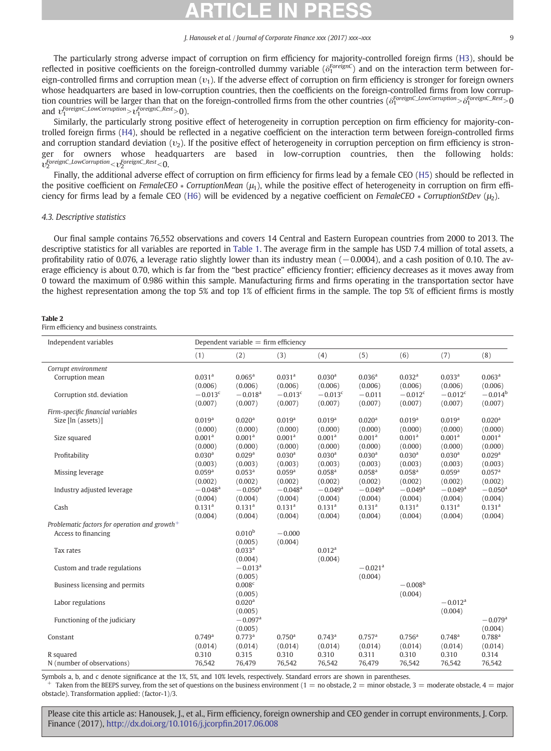The particularly strong adverse impact of corruption on firm efficiency for majority-controlled foreign firms (H3), should be reflected in positive coefficients on the foreign-controlled dummy variable  $(\delta_1^{foreignC})$  and on the interaction term between foreign-controlled firms and corruption mean  $(v_1)$ . If the adverse effect of corruption on firm efficiency is stronger for foreign owners whose headquarters are based in low-corruption countries, then the coefficients on the foreign-controlled firms from low corruption countries will be larger than that on the foreign-controlled firms from the other countries ( $\delta_1^{foreign}$ C $_{lowCoruption}$  $\geq \delta_1^{foreign}$ C $_{Rest}$  $>0$ and  $v_1^{ForeignC\_LowCorruption}$  $> v_1^{ForeignC\_Rest}$  $>$ 0).

Similarly, the particularly strong positive effect of heterogeneity in corruption perception on firm efficiency for majority-controlled foreign firms (H4), should be reflected in a negative coefficient on the interaction term between foreign-controlled firms and corruption standard deviation  $(v_2)$ . If the positive effect of heterogeneity in corruption perception on firm efficiency is stronger for owners whose headquarters are based in low-corruption countries, then the following holds:  $v_2^{\mathit{Foreign\_LowCorruption}}{<}v_2^{\mathit{Foreign\_Rest}}{<}0.$ 

Finally, the additional adverse effect of corruption on firm efficiency for firms lead by a female CEO (H5) should be reflected in the positive coefficient on FemaleCEO  $*$  CorruptionMean  $(\mu_1)$ , while the positive effect of heterogeneity in corruption on firm efficiency for firms lead by a female CEO (H6) will be evidenced by a negative coefficient on FemaleCEO  $*$  CorruptionStDev ( $\mu_2$ ).

### 4.3. Descriptive statistics

Our final sample contains 76,552 observations and covers 14 Central and Eastern European countries from 2000 to 2013. The descriptive statistics for all variables are reported in Table 1. The average firm in the sample has USD 7.4 million of total assets, a profitability ratio of 0.076, a leverage ratio slightly lower than its industry mean (−0.0004), and a cash position of 0.10. The average efficiency is about 0.70, which is far from the "best practice" efficiency frontier; efficiency decreases as it moves away from 0 toward the maximum of 0.986 within this sample. Manufacturing firms and firms operating in the transportation sector have the highest representation among the top 5% and top 1% of efficient firms in the sample. The top 5% of efficient firms is mostly

### Table 2

Firm efficiency and business constraints.

| Independent variables                                     | Dependent variable $=$ firm efficiency |                                  |                                  |                                  |                                  |                                  |                                  |                                  |
|-----------------------------------------------------------|----------------------------------------|----------------------------------|----------------------------------|----------------------------------|----------------------------------|----------------------------------|----------------------------------|----------------------------------|
|                                                           | (1)                                    | (2)                              | (3)                              | (4)                              | (5)                              | (6)                              | (7)                              | (8)                              |
| Corrupt environment                                       |                                        |                                  |                                  |                                  |                                  |                                  |                                  |                                  |
| Corruption mean                                           | 0.031 <sup>a</sup><br>(0.006)          | 0.065 <sup>a</sup><br>(0.006)    | 0.031 <sup>a</sup><br>(0.006)    | 0.030 <sup>a</sup><br>(0.006)    | 0.036 <sup>a</sup><br>(0.006)    | 0.032 <sup>a</sup><br>(0.006)    | 0.033 <sup>a</sup><br>(0.006)    | 0.063 <sup>a</sup><br>(0.006)    |
| Corruption std. deviation                                 | $-0.013^c$<br>(0.007)                  | $-0.018$ <sup>a</sup><br>(0.007) | $-0.013^c$<br>(0.007)            | $-0.013^c$<br>(0.007)            | $-0.011$<br>(0.007)              | $-0.012^c$<br>(0.007)            | $-0.012^c$<br>(0.007)            | $-0.014^{\rm b}$<br>(0.007)      |
| Firm-specific financial variables                         |                                        |                                  |                                  |                                  |                                  |                                  |                                  |                                  |
| Size [ln (assets)]                                        | 0.019 <sup>a</sup><br>(0.000)          | 0.020 <sup>a</sup><br>(0.000)    | 0.019 <sup>a</sup><br>(0.000)    | 0.019 <sup>a</sup><br>(0.000)    | 0.020 <sup>a</sup><br>(0.000)    | 0.019 <sup>a</sup><br>(0.000)    | 0.019 <sup>a</sup><br>(0.000)    | 0.020 <sup>a</sup><br>(0.000)    |
| Size squared                                              | 0.001 <sup>a</sup><br>(0.000)          | 0.001 <sup>a</sup><br>(0.000)    | 0.001 <sup>a</sup><br>(0.000)    | 0.001 <sup>a</sup><br>(0.000)    | 0.001 <sup>a</sup><br>(0.000)    | 0.001 <sup>a</sup><br>(0.000)    | 0.001 <sup>a</sup><br>(0.000)    | 0.001 <sup>a</sup><br>(0.000)    |
| Profitability                                             | 0.030 <sup>a</sup><br>(0.003)          | 0.029 <sup>a</sup><br>(0.003)    | 0.030 <sup>a</sup><br>(0.003)    | 0.030 <sup>a</sup><br>(0.003)    | 0.030 <sup>a</sup><br>(0.003)    | 0.030 <sup>a</sup><br>(0.003)    | 0.030 <sup>a</sup><br>(0.003)    | 0.029 <sup>a</sup><br>(0.003)    |
| Missing leverage                                          | 0.059 <sup>a</sup><br>(0.002)          | 0.053 <sup>a</sup><br>(0.002)    | 0.059 <sup>a</sup><br>(0.002)    | 0.058 <sup>a</sup><br>(0.002)    | 0.058 <sup>a</sup><br>(0.002)    | 0.058 <sup>a</sup><br>(0.002)    | 0.059 <sup>a</sup><br>(0.002)    | $0.057$ <sup>a</sup><br>(0.002)  |
| Industry adjusted leverage                                | $-0.048$ <sup>a</sup><br>(0.004)       | $-0.050$ <sup>a</sup><br>(0.004) | $-0.048$ <sup>a</sup><br>(0.004) | $-0.049$ <sup>a</sup><br>(0.004) | $-0.049$ <sup>a</sup><br>(0.004) | $-0.049$ <sup>a</sup><br>(0.004) | $-0.049$ <sup>a</sup><br>(0.004) | $-0.050$ <sup>a</sup><br>(0.004) |
| Cash                                                      | 0.131 <sup>a</sup><br>(0.004)          | 0.131 <sup>a</sup><br>(0.004)    | 0.131 <sup>a</sup><br>(0.004)    | 0.131 <sup>a</sup><br>(0.004)    | 0.131 <sup>a</sup><br>(0.004)    | 0.131 <sup>a</sup><br>(0.004)    | 0.131 <sup>a</sup><br>(0.004)    | 0.131 <sup>a</sup><br>(0.004)    |
| Problematic factors for operation and growth <sup>+</sup> |                                        |                                  |                                  |                                  |                                  |                                  |                                  |                                  |
| Access to financing                                       |                                        | 0.010 <sup>b</sup><br>(0.005)    | $-0.000$<br>(0.004)              |                                  |                                  |                                  |                                  |                                  |
| Tax rates                                                 |                                        | 0.033 <sup>a</sup><br>(0.004)    |                                  | 0.012 <sup>a</sup><br>(0.004)    |                                  |                                  |                                  |                                  |
| Custom and trade regulations                              |                                        | $-0.013$ <sup>a</sup><br>(0.005) |                                  |                                  | $-0.021$ <sup>a</sup><br>(0.004) |                                  |                                  |                                  |
| Business licensing and permits                            |                                        | 0.008 <sup>c</sup><br>(0.005)    |                                  |                                  |                                  | $-0.008^{\rm b}$<br>(0.004)      |                                  |                                  |
| Labor regulations                                         |                                        | 0.020 <sup>a</sup><br>(0.005)    |                                  |                                  |                                  |                                  | $-0.012$ <sup>a</sup><br>(0.004) |                                  |
| Functioning of the judiciary                              |                                        | $-0.097$ <sup>a</sup><br>(0.005) |                                  |                                  |                                  |                                  |                                  | $-0.079$ <sup>a</sup><br>(0.004) |
| Constant                                                  | $0.749$ <sup>a</sup><br>(0.014)        | 0.773 <sup>a</sup><br>(0.014)    | $0.750$ <sup>a</sup><br>(0.014)  | $0.743$ <sup>a</sup><br>(0.014)  | $0.757$ <sup>a</sup><br>(0.014)  | 0.756 <sup>a</sup><br>(0.014)    | $0.748$ <sup>a</sup><br>(0.014)  | $0.788$ <sup>a</sup><br>(0.014)  |
| R squared                                                 | 0.310                                  | 0.315                            | 0.310                            | 0.310                            | 0.311                            | 0.310                            | 0.310                            | 0.314                            |
| N (number of observations)                                | 76,542                                 | 76,479                           | 76,542                           | 76,542                           | 76,479                           | 76,542                           | 76,542                           | 76,542                           |

Symbols a, b, and c denote significance at the 1%, 5%, and 10% levels, respectively. Standard errors are shown in parentheses.

Taken from the BEEPS survey, from the set of questions on the business environment ( $1 =$  no obstacle,  $2 =$  minor obstacle,  $3 =$  moderate obstacle,  $4 =$  major obstacle). Transformation applied: (factor-1)/3.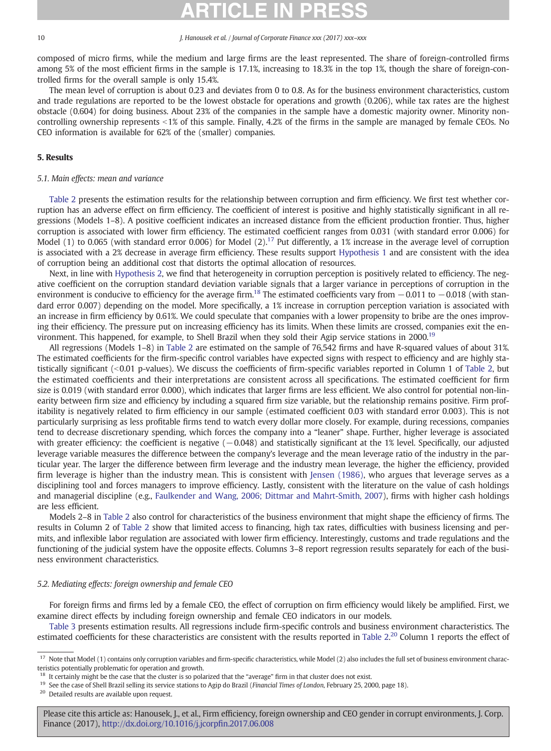composed of micro firms, while the medium and large firms are the least represented. The share of foreign-controlled firms among 5% of the most efficient firms in the sample is 17.1%, increasing to 18.3% in the top 1%, though the share of foreign-controlled firms for the overall sample is only 15.4%.

The mean level of corruption is about 0.23 and deviates from 0 to 0.8. As for the business environment characteristics, custom and trade regulations are reported to be the lowest obstacle for operations and growth (0.206), while tax rates are the highest obstacle (0.604) for doing business. About 23% of the companies in the sample have a domestic majority owner. Minority noncontrolling ownership represents  $\langle 1\%$  of this sample. Finally, 4.2% of the firms in the sample are managed by female CEOs. No CEO information is available for 62% of the (smaller) companies.

### 5. Results

### 5.1. Main effects: mean and variance

Table 2 presents the estimation results for the relationship between corruption and firm efficiency. We first test whether corruption has an adverse effect on firm efficiency. The coefficient of interest is positive and highly statistically significant in all regressions (Models 1–8). A positive coefficient indicates an increased distance from the efficient production frontier. Thus, higher corruption is associated with lower firm efficiency. The estimated coefficient ranges from 0.031 (with standard error 0.006) for Model (1) to 0.065 (with standard error 0.006) for Model (2).<sup>17</sup> Put differently, a 1% increase in the average level of corruption is associated with a 2% decrease in average firm efficiency. These results support Hypothesis 1 and are consistent with the idea of corruption being an additional cost that distorts the optimal allocation of resources.

Next, in line with Hypothesis 2, we find that heterogeneity in corruption perception is positively related to efficiency. The negative coefficient on the corruption standard deviation variable signals that a larger variance in perceptions of corruption in the environment is conducive to efficiency for the average firm.<sup>18</sup> The estimated coefficients vary from −0.011 to −0.018 (with standard error 0.007) depending on the model. More specifically, a 1% increase in corruption perception variation is associated with an increase in firm efficiency by 0.61%. We could speculate that companies with a lower propensity to bribe are the ones improving their efficiency. The pressure put on increasing efficiency has its limits. When these limits are crossed, companies exit the environment. This happened, for example, to Shell Brazil when they sold their Agip service stations in 2000.19

All regressions (Models 1–8) in Table 2 are estimated on the sample of 76,542 firms and have R-squared values of about 31%. The estimated coefficients for the firm-specific control variables have expected signs with respect to efficiency and are highly statistically significant (<0.01 p-values). We discuss the coefficients of firm-specific variables reported in Column 1 of Table 2, but the estimated coefficients and their interpretations are consistent across all specifications. The estimated coefficient for firm size is 0.019 (with standard error 0.000), which indicates that larger firms are less efficient. We also control for potential non-linearity between firm size and efficiency by including a squared firm size variable, but the relationship remains positive. Firm profitability is negatively related to firm efficiency in our sample (estimated coefficient 0.03 with standard error 0.003). This is not particularly surprising as less profitable firms tend to watch every dollar more closely. For example, during recessions, companies tend to decrease discretionary spending, which forces the company into a "leaner" shape. Further, higher leverage is associated with greater efficiency: the coefficient is negative (−0.048) and statistically significant at the 1% level. Specifically, our adjusted leverage variable measures the difference between the company's leverage and the mean leverage ratio of the industry in the particular year. The larger the difference between firm leverage and the industry mean leverage, the higher the efficiency, provided firm leverage is higher than the industry mean. This is consistent with Jensen (1986), who argues that leverage serves as a disciplining tool and forces managers to improve efficiency. Lastly, consistent with the literature on the value of cash holdings and managerial discipline (e.g., Faulkender and Wang, 2006; Dittmar and Mahrt-Smith, 2007), firms with higher cash holdings are less efficient.

Models 2–8 in Table 2 also control for characteristics of the business environment that might shape the efficiency of firms. The results in Column 2 of Table 2 show that limited access to financing, high tax rates, difficulties with business licensing and permits, and inflexible labor regulation are associated with lower firm efficiency. Interestingly, customs and trade regulations and the functioning of the judicial system have the opposite effects. Columns 3–8 report regression results separately for each of the business environment characteristics.

### 5.2. Mediating effects: foreign ownership and female CEO

For foreign firms and firms led by a female CEO, the effect of corruption on firm efficiency would likely be amplified. First, we examine direct effects by including foreign ownership and female CEO indicators in our models.

Table 3 presents estimation results. All regressions include firm-specific controls and business environment characteristics. The estimated coefficients for these characteristics are consistent with the results reported in Table 2.<sup>20</sup> Column 1 reports the effect of

 $17$  Note that Model (1) contains only corruption variables and firm-specific characteristics, while Model (2) also includes the full set of business environment characteristics potentially problematic for operation and growth.

<sup>&</sup>lt;sup>18</sup> It certainly might be the case that the cluster is so polarized that the "average" firm in that cluster does not exist.

<sup>&</sup>lt;sup>19</sup> See the case of Shell Brazil selling its service stations to Agip do Brazil (Financial Times of London, February 25, 2000, page 18).

<sup>20</sup> Detailed results are available upon request.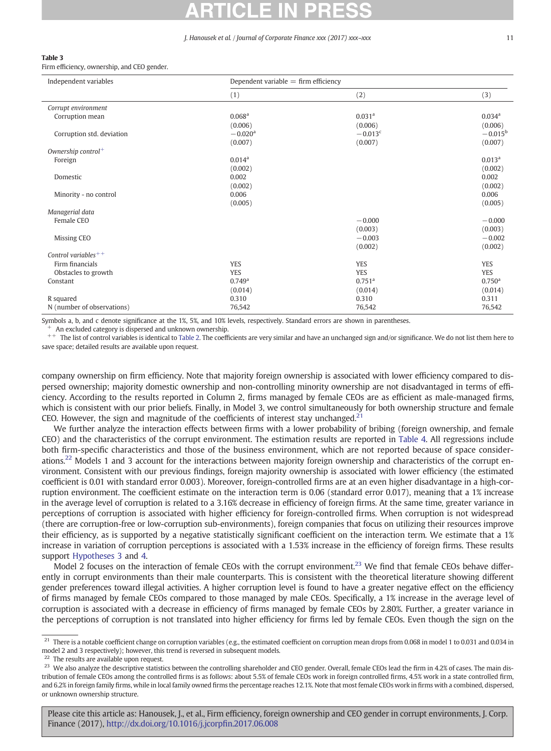### Table 3

Firm efficiency, ownership, and CEO gender.

| Independent variables           | Dependent variable $=$ firm efficiency      |                                        |                                        |
|---------------------------------|---------------------------------------------|----------------------------------------|----------------------------------------|
|                                 | (1)                                         | (2)                                    | (3)                                    |
| Corrupt environment             |                                             |                                        |                                        |
| Corruption mean                 | 0.068 <sup>a</sup>                          | 0.031 <sup>a</sup>                     | $0.034$ <sup>a</sup>                   |
| Corruption std. deviation       | (0.006)<br>$-0.020$ <sup>a</sup><br>(0.007) | (0.006)<br>$-0.013^{\circ}$<br>(0.007) | (0.006)<br>$-0.015^{\rm b}$<br>(0.007) |
| Ownership control <sup>+</sup>  |                                             |                                        |                                        |
| Foreign                         | 0.014 <sup>a</sup><br>(0.002)               |                                        | 0.013 <sup>a</sup><br>(0.002)          |
| Domestic                        | 0.002<br>(0.002)                            |                                        | 0.002<br>(0.002)                       |
| Minority - no control           | 0.006<br>(0.005)                            |                                        | 0.006<br>(0.005)                       |
| Managerial data                 |                                             |                                        |                                        |
| Female CEO                      |                                             | $-0.000$                               | $-0.000$                               |
|                                 |                                             | (0.003)                                | (0.003)                                |
| Missing CEO                     |                                             | $-0.003$                               | $-0.002$                               |
| Control variables <sup>++</sup> |                                             | (0.002)                                | (0.002)                                |
| Firm financials                 | <b>YES</b>                                  | <b>YES</b>                             | <b>YES</b>                             |
| Obstacles to growth             | <b>YES</b>                                  | <b>YES</b>                             | <b>YES</b>                             |
| Constant                        | 0.749a                                      | $0.751$ <sup>a</sup>                   | $0.750$ <sup>a</sup>                   |
|                                 | (0.014)                                     | (0.014)                                | (0.014)                                |
| R squared                       | 0.310                                       | 0.310                                  | 0.311                                  |
| N (number of observations)      | 76,542                                      | 76,542                                 | 76,542                                 |

Symbols a, b, and c denote significance at the 1%, 5%, and 10% levels, respectively. Standard errors are shown in parentheses.

An excluded category is dispersed and unknown ownership.

<sup>++</sup> The list of control variables is identical to Table 2. The coefficients are very similar and have an unchanged sign and/or significance. We do not list them here to save space; detailed results are available upon request.

company ownership on firm efficiency. Note that majority foreign ownership is associated with lower efficiency compared to dispersed ownership; majority domestic ownership and non-controlling minority ownership are not disadvantaged in terms of efficiency. According to the results reported in Column 2, firms managed by female CEOs are as efficient as male-managed firms, which is consistent with our prior beliefs. Finally, in Model 3, we control simultaneously for both ownership structure and female CEO. However, the sign and magnitude of the coefficients of interest stay unchanged. $^{21}$ 

We further analyze the interaction effects between firms with a lower probability of bribing (foreign ownership, and female CEO) and the characteristics of the corrupt environment. The estimation results are reported in Table 4. All regressions include both firm-specific characteristics and those of the business environment, which are not reported because of space considerations.<sup>22</sup> Models 1 and 3 account for the interactions between majority foreign ownership and characteristics of the corrupt environment. Consistent with our previous findings, foreign majority ownership is associated with lower efficiency (the estimated coefficient is 0.01 with standard error 0.003). Moreover, foreign-controlled firms are at an even higher disadvantage in a high-corruption environment. The coefficient estimate on the interaction term is 0.06 (standard error 0.017), meaning that a 1% increase in the average level of corruption is related to a 3.16% decrease in efficiency of foreign firms. At the same time, greater variance in perceptions of corruption is associated with higher efficiency for foreign-controlled firms. When corruption is not widespread (there are corruption-free or low-corruption sub-environments), foreign companies that focus on utilizing their resources improve their efficiency, as is supported by a negative statistically significant coefficient on the interaction term. We estimate that a 1% increase in variation of corruption perceptions is associated with a 1.53% increase in the efficiency of foreign firms. These results support Hypotheses 3 and 4.

Model 2 focuses on the interaction of female CEOs with the corrupt environment.<sup>23</sup> We find that female CEOs behave differently in corrupt environments than their male counterparts. This is consistent with the theoretical literature showing different gender preferences toward illegal activities. A higher corruption level is found to have a greater negative effect on the efficiency of firms managed by female CEOs compared to those managed by male CEOs. Specifically, a 1% increase in the average level of corruption is associated with a decrease in efficiency of firms managed by female CEOs by 2.80%. Further, a greater variance in the perceptions of corruption is not translated into higher efficiency for firms led by female CEOs. Even though the sign on the

 $^{21}$  There is a notable coefficient change on corruption variables (e.g., the estimated coefficient on corruption mean drops from 0.068 in model 1 to 0.031 and 0.034 in model 2 and 3 respectively); however, this trend is reversed in subsequent models.

 $22$  The results are available upon request.

<sup>&</sup>lt;sup>23</sup> We also analyze the descriptive statistics between the controlling shareholder and CEO gender. Overall, female CEOs lead the firm in 4.2% of cases. The main distribution of female CEOs among the controlled firms is as follows: about 5.5% of female CEOs work in foreign controlled firms, 4.5% work in a state controlled firm, and 6.2% in foreign family firms, while in local family owned firms the percentage reaches 12.1%. Note that most female CEOs work in firms with a combined, dispersed, or unknown ownership structure.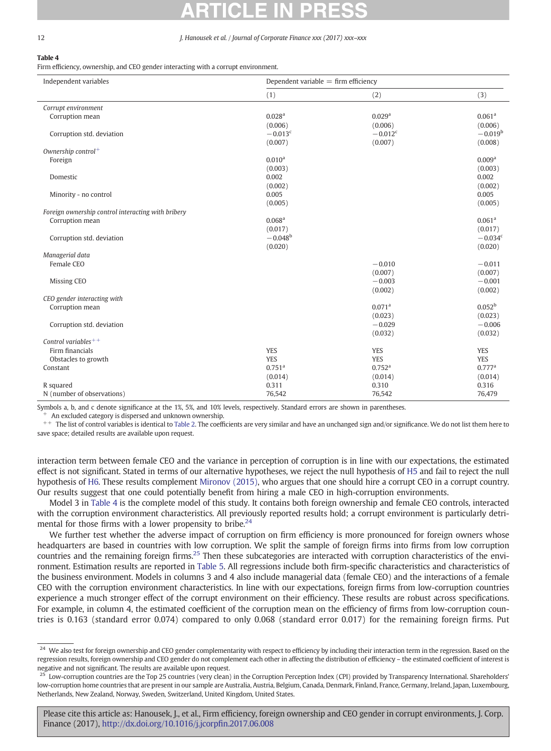### Table 4

Firm efficiency, ownership, and CEO gender interacting with a corrupt environment.

| Independent variables                                           | Dependent variable $=$ firm efficiency                                                          |                      |                       |
|-----------------------------------------------------------------|-------------------------------------------------------------------------------------------------|----------------------|-----------------------|
|                                                                 | (1)                                                                                             | (2)                  | (3)                   |
| Corrupt environment                                             |                                                                                                 |                      |                       |
| Corruption mean                                                 | 0.028 <sup>a</sup>                                                                              | 0.029 <sup>a</sup>   | 0.061 <sup>a</sup>    |
|                                                                 | (0.006)                                                                                         | (0.006)              | (0.006)               |
| Corruption std. deviation                                       | $-0.013$ <sup>c</sup>                                                                           | $-0.012^c$           | $-0.019^{b}$          |
|                                                                 | (0.007)                                                                                         | (0.007)              | (0.008)               |
| Ownership control $^+$                                          |                                                                                                 |                      |                       |
| Foreign                                                         | 0.010 <sup>a</sup>                                                                              |                      | 0.009 <sup>a</sup>    |
|                                                                 | (0.003)                                                                                         |                      | (0.003)               |
| Domestic                                                        | 0.002                                                                                           |                      | 0.002                 |
|                                                                 | (0.002)                                                                                         |                      | (0.002)               |
| Minority - no control                                           | 0.005                                                                                           |                      | 0.005                 |
|                                                                 | (0.005)                                                                                         |                      | (0.005)               |
| Foreign ownership control interacting with bribery              |                                                                                                 |                      |                       |
| Corruption mean                                                 | 0.068 <sup>a</sup>                                                                              |                      | 0.061 <sup>a</sup>    |
|                                                                 | (0.017)<br>$-0.048^{\rm b}$                                                                     |                      | (0.017)               |
| Corruption std. deviation                                       |                                                                                                 |                      | $-0.034$ <sup>c</sup> |
| Managerial data                                                 | (0.020)                                                                                         |                      | (0.020)               |
| Female CEO                                                      |                                                                                                 | $-0.010$             | $-0.011$              |
|                                                                 |                                                                                                 | (0.007)              | (0.007)               |
| Missing CEO                                                     |                                                                                                 | $-0.003$             | $-0.001$              |
|                                                                 |                                                                                                 | (0.002)              | (0.002)               |
| CEO gender interacting with                                     |                                                                                                 |                      |                       |
| Corruption mean                                                 |                                                                                                 | $0.071$ <sup>a</sup> | 0.052 <sup>b</sup>    |
|                                                                 |                                                                                                 | (0.023)              | (0.023)               |
| Corruption std. deviation                                       |                                                                                                 | $-0.029$             | $-0.006$              |
|                                                                 |                                                                                                 | (0.032)              | (0.032)               |
| Control variables <sup>++</sup>                                 |                                                                                                 |                      |                       |
| Firm financials                                                 | <b>YES</b>                                                                                      | <b>YES</b>           | <b>YES</b>            |
| Obstacles to growth                                             | <b>YES</b>                                                                                      | <b>YES</b>           | <b>YES</b>            |
| Constant                                                        | $0.751$ <sup>a</sup>                                                                            | $0.752$ <sup>a</sup> | $0.777$ <sup>a</sup>  |
|                                                                 | (0.014)                                                                                         | (0.014)              | (0.014)               |
| R squared                                                       | 0.311                                                                                           | 0.310                | 0.316                 |
| N (number of observations)<br>$-24.41 - 40$ $-0$ $-24.400$ $-1$ | 76,542<br>$\mathcal{L}$ and $\mathcal{L}$ and $\mathcal{L}$ and $\mathcal{L}$ and $\mathcal{L}$ | 76,542               | 76,479                |

Symbols a, b, and c denote significance at the 1%, 5%, and 10% levels, respectively. Standard errors are shown in parentheses. An excluded category is dispersed and unknown ownership.

++ The list of control variables is identical to Table 2. The coefficients are very similar and have an unchanged sign and/or significance. We do not list them here to save space; detailed results are available upon request.

interaction term between female CEO and the variance in perception of corruption is in line with our expectations, the estimated effect is not significant. Stated in terms of our alternative hypotheses, we reject the null hypothesis of H5 and fail to reject the null hypothesis of H6. These results complement Mironov (2015), who argues that one should hire a corrupt CEO in a corrupt country. Our results suggest that one could potentially benefit from hiring a male CEO in high-corruption environments.

Model 3 in Table 4 is the complete model of this study. It contains both foreign ownership and female CEO controls, interacted with the corruption environment characteristics. All previously reported results hold; a corrupt environment is particularly detrimental for those firms with a lower propensity to bribe. $24$ 

We further test whether the adverse impact of corruption on firm efficiency is more pronounced for foreign owners whose headquarters are based in countries with low corruption. We split the sample of foreign firms into firms from low corruption countries and the remaining foreign firms.<sup>25</sup> Then these subcategories are interacted with corruption characteristics of the environment. Estimation results are reported in Table 5. All regressions include both firm-specific characteristics and characteristics of the business environment. Models in columns 3 and 4 also include managerial data (female CEO) and the interactions of a female CEO with the corruption environment characteristics. In line with our expectations, foreign firms from low-corruption countries experience a much stronger effect of the corrupt environment on their efficiency. These results are robust across specifications. For example, in column 4, the estimated coefficient of the corruption mean on the efficiency of firms from low-corruption countries is 0.163 (standard error 0.074) compared to only 0.068 (standard error 0.017) for the remaining foreign firms. Put

<sup>&</sup>lt;sup>24</sup> We also test for foreign ownership and CEO gender complementarity with respect to efficiency by including their interaction term in the regression. Based on the regression results, foreign ownership and CEO gender do not complement each other in affecting the distribution of efficiency – the estimated coefficient of interest is negative and not significant. The results are available upon request.

 $^{25}$  Low-corruption countries are the Top 25 countries (very clean) in the Corruption Perception Index (CPI) provided by Transparency International. Shareholders' low-corruption home countries that are present in our sample are Australia, Austria, Belgium, Canada, Denmark, Finland, France, Germany, Ireland, Japan, Luxembourg, Netherlands, New Zealand, Norway, Sweden, Switzerland, United Kingdom, United States.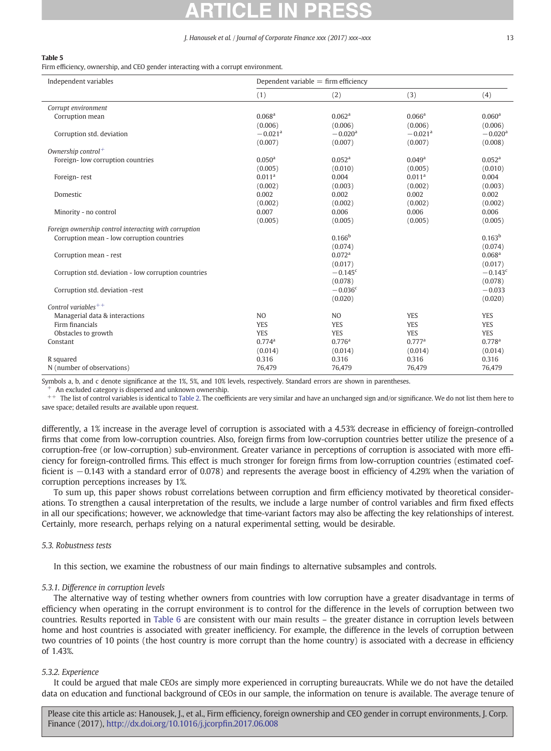### Table 5

Firm efficiency, ownership, and CEO gender interacting with a corrupt environment.

| Independent variables                                 | Dependent variable $=$ firm efficiency |                               |                       |                       |
|-------------------------------------------------------|----------------------------------------|-------------------------------|-----------------------|-----------------------|
|                                                       | (1)                                    | (2)                           | (3)                   | (4)                   |
| Corrupt environment                                   |                                        |                               |                       |                       |
| Corruption mean                                       | 0.068 <sup>a</sup>                     | 0.062 <sup>a</sup>            | 0.066 <sup>a</sup>    | 0.060 <sup>a</sup>    |
|                                                       | (0.006)                                | (0.006)                       | (0.006)               | (0.006)               |
| Corruption std. deviation                             | $-0.021$ <sup>a</sup>                  | $-0.020$ <sup>a</sup>         | $-0.021$ <sup>a</sup> | $-0.020$ <sup>a</sup> |
|                                                       | (0.007)                                | (0.007)                       | (0.007)               | (0.008)               |
| Ownership control <sup>+</sup>                        |                                        |                               |                       |                       |
| Foreign- low corruption countries                     | 0.050 <sup>a</sup>                     | 0.052 <sup>a</sup>            | 0.049 <sup>a</sup>    | 0.052 <sup>a</sup>    |
|                                                       | (0.005)                                | (0.010)                       | (0.005)               | (0.010)               |
| Foreign-rest                                          | 0.011 <sup>a</sup>                     | 0.004                         | 0.011 <sup>a</sup>    | 0.004                 |
|                                                       | (0.002)                                | (0.003)                       | (0.002)               | (0.003)               |
| Domestic                                              | 0.002                                  | 0.002                         | 0.002                 | 0.002                 |
|                                                       | (0.002)                                | (0.002)                       | (0.002)               | (0.002)               |
| Minority - no control                                 | 0.007                                  | 0.006                         | 0.006                 | 0.006                 |
|                                                       | (0.005)                                | (0.005)                       | (0.005)               | (0.005)               |
| Foreign ownership control interacting with corruption |                                        |                               |                       |                       |
| Corruption mean - low corruption countries            |                                        | 0.166 <sup>b</sup>            |                       | 0.163 <sup>b</sup>    |
|                                                       |                                        | (0.074)<br>0.072 <sup>a</sup> |                       | (0.074)               |
| Corruption mean - rest                                |                                        |                               |                       | 0.068 <sup>a</sup>    |
|                                                       |                                        | (0.017)<br>$-0.145^c$         |                       | (0.017)<br>$-0.143^c$ |
| Corruption std. deviation - low corruption countries  |                                        | (0.078)                       |                       | (0.078)               |
| Corruption std. deviation -rest                       |                                        | $-0.036^c$                    |                       | $-0.033$              |
|                                                       |                                        | (0.020)                       |                       | (0.020)               |
| Control variables <sup><math>++</math></sup>          |                                        |                               |                       |                       |
| Managerial data & interactions                        | N <sub>O</sub>                         | N <sub>O</sub>                | <b>YES</b>            | <b>YES</b>            |
| Firm financials                                       | <b>YES</b>                             | <b>YES</b>                    | <b>YES</b>            | <b>YES</b>            |
| Obstacles to growth                                   | <b>YES</b>                             | <b>YES</b>                    | <b>YES</b>            | <b>YES</b>            |
| Constant                                              | 0.774a                                 | 0.776 <sup>a</sup>            | 0.777 <sup>a</sup>    | 0.778 <sup>a</sup>    |
|                                                       | (0.014)                                | (0.014)                       | (0.014)               | (0.014)               |
| R squared                                             | 0.316                                  | 0.316                         | 0.316                 | 0.316                 |
| N (number of observations)                            | 76,479                                 | 76,479                        | 76,479                | 76,479                |

Symbols a, b, and c denote significance at the 1%, 5%, and 10% levels, respectively. Standard errors are shown in parentheses.

An excluded category is dispersed and unknown ownership.

<sup>++</sup> The list of control variables is identical to Table 2. The coefficients are very similar and have an unchanged sign and/or significance. We do not list them here to save space; detailed results are available upon request.

differently, a 1% increase in the average level of corruption is associated with a 4.53% decrease in efficiency of foreign-controlled firms that come from low-corruption countries. Also, foreign firms from low-corruption countries better utilize the presence of a corruption-free (or low-corruption) sub-environment. Greater variance in perceptions of corruption is associated with more efficiency for foreign-controlled firms. This effect is much stronger for foreign firms from low-corruption countries (estimated coefficient is −0.143 with a standard error of 0.078) and represents the average boost in efficiency of 4.29% when the variation of corruption perceptions increases by 1%.

To sum up, this paper shows robust correlations between corruption and firm efficiency motivated by theoretical considerations. To strengthen a causal interpretation of the results, we include a large number of control variables and firm fixed effects in all our specifications; however, we acknowledge that time-variant factors may also be affecting the key relationships of interest. Certainly, more research, perhaps relying on a natural experimental setting, would be desirable.

### 5.3. Robustness tests

In this section, we examine the robustness of our main findings to alternative subsamples and controls.

### 5.3.1. Difference in corruption levels

The alternative way of testing whether owners from countries with low corruption have a greater disadvantage in terms of efficiency when operating in the corrupt environment is to control for the difference in the levels of corruption between two countries. Results reported in Table 6 are consistent with our main results – the greater distance in corruption levels between home and host countries is associated with greater inefficiency. For example, the difference in the levels of corruption between two countries of 10 points (the host country is more corrupt than the home country) is associated with a decrease in efficiency of 1.43%.

### 5.3.2. Experience

It could be argued that male CEOs are simply more experienced in corrupting bureaucrats. While we do not have the detailed data on education and functional background of CEOs in our sample, the information on tenure is available. The average tenure of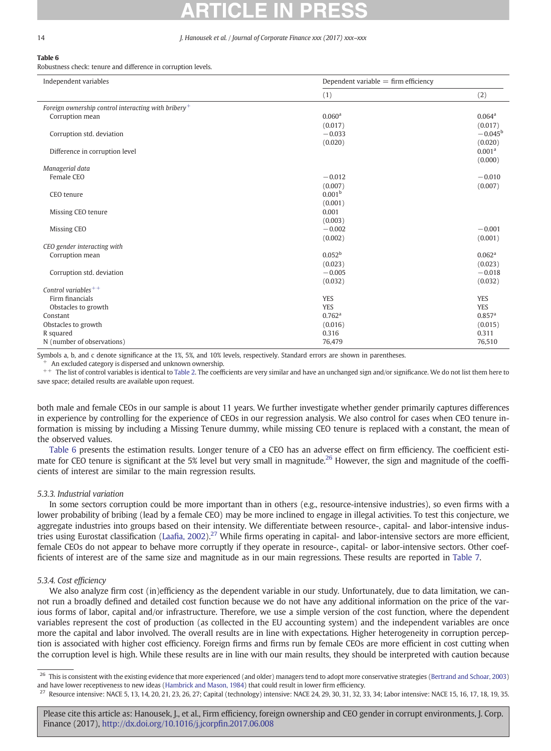### Table 6

Robustness check: tenure and difference in corruption levels.

| Independent variables                                   | Dependent variable $=$ firm efficiency |                      |  |
|---------------------------------------------------------|----------------------------------------|----------------------|--|
|                                                         | (1)                                    | (2)                  |  |
| Foreign ownership control interacting with bribery $^+$ |                                        |                      |  |
| Corruption mean                                         | 0.060 <sup>a</sup>                     | 0.064 <sup>a</sup>   |  |
|                                                         | (0.017)                                | (0.017)              |  |
| Corruption std. deviation                               | $-0.033$                               | $-0.045^{\rm b}$     |  |
|                                                         | (0.020)                                | (0.020)              |  |
| Difference in corruption level                          |                                        | 0.001 <sup>a</sup>   |  |
|                                                         |                                        | (0.000)              |  |
| Managerial data                                         |                                        |                      |  |
| Female CEO                                              | $-0.012$                               | $-0.010$             |  |
|                                                         | (0.007)                                | (0.007)              |  |
| CEO tenure                                              | 0.001 <sup>b</sup>                     |                      |  |
|                                                         | (0.001)                                |                      |  |
| Missing CEO tenure                                      | 0.001                                  |                      |  |
|                                                         | (0.003)                                |                      |  |
| Missing CEO                                             | $-0.002$                               | $-0.001$             |  |
|                                                         | (0.002)                                | (0.001)              |  |
| CEO gender interacting with                             | 0.052 <sup>b</sup>                     | 0.062 <sup>a</sup>   |  |
| Corruption mean                                         | (0.023)                                | (0.023)              |  |
| Corruption std. deviation                               | $-0.005$                               | $-0.018$             |  |
|                                                         | (0.032)                                | (0.032)              |  |
| Control variables <sup>++</sup>                         |                                        |                      |  |
| Firm financials                                         | <b>YES</b>                             | <b>YES</b>           |  |
| Obstacles to growth                                     | <b>YES</b>                             | <b>YES</b>           |  |
| Constant                                                | $0.762$ <sup>a</sup>                   | $0.857$ <sup>a</sup> |  |
| Obstacles to growth                                     | (0.016)                                | (0.015)              |  |
| R squared                                               | 0.316                                  | 0.311                |  |
| N (number of observations)                              | 76,479                                 | 76,510               |  |

Symbols a, b, and c denote significance at the 1%, 5%, and 10% levels, respectively. Standard errors are shown in parentheses.

 $+$  An excluded category is dispersed and unknown ownership.

<sup>++</sup> The list of control variables is identical to Table 2. The coefficients are very similar and have an unchanged sign and/or significance. We do not list them here to save space; detailed results are available upon request.

both male and female CEOs in our sample is about 11 years. We further investigate whether gender primarily captures differences in experience by controlling for the experience of CEOs in our regression analysis. We also control for cases when CEO tenure information is missing by including a Missing Tenure dummy, while missing CEO tenure is replaced with a constant, the mean of the observed values.

Table 6 presents the estimation results. Longer tenure of a CEO has an adverse effect on firm efficiency. The coefficient estimate for CEO tenure is significant at the 5% level but very small in magnitude.<sup>26</sup> However, the sign and magnitude of the coefficients of interest are similar to the main regression results.

### 5.3.3. Industrial variation

In some sectors corruption could be more important than in others (e.g., resource-intensive industries), so even firms with a lower probability of bribing (lead by a female CEO) may be more inclined to engage in illegal activities. To test this conjecture, we aggregate industries into groups based on their intensity. We differentiate between resource-, capital- and labor-intensive industries using Eurostat classification (Laafia, 2002).<sup>27</sup> While firms operating in capital- and labor-intensive sectors are more efficient, female CEOs do not appear to behave more corruptly if they operate in resource-, capital- or labor-intensive sectors. Other coefficients of interest are of the same size and magnitude as in our main regressions. These results are reported in Table 7.

### 5.3.4. Cost efficiency

We also analyze firm cost (in)efficiency as the dependent variable in our study. Unfortunately, due to data limitation, we cannot run a broadly defined and detailed cost function because we do not have any additional information on the price of the various forms of labor, capital and/or infrastructure. Therefore, we use a simple version of the cost function, where the dependent variables represent the cost of production (as collected in the EU accounting system) and the independent variables are once more the capital and labor involved. The overall results are in line with expectations. Higher heterogeneity in corruption perception is associated with higher cost efficiency. Foreign firms and firms run by female CEOs are more efficient in cost cutting when the corruption level is high. While these results are in line with our main results, they should be interpreted with caution because

 $^{26}$  This is consistent with the existing evidence that more experienced (and older) managers tend to adopt more conservative strategies (Bertrand and Schoar, 2003) and have lower receptiveness to new ideas (Hambrick and Mason, 1984) that could result in lower firm efficiency.

<sup>27</sup> Resource intensive: NACE 5, 13, 14, 20, 21, 23, 26, 27; Capital (technology) intensive: NACE 24, 29, 30, 31, 32, 33, 34; Labor intensive: NACE 15, 16, 17, 18, 19, 35.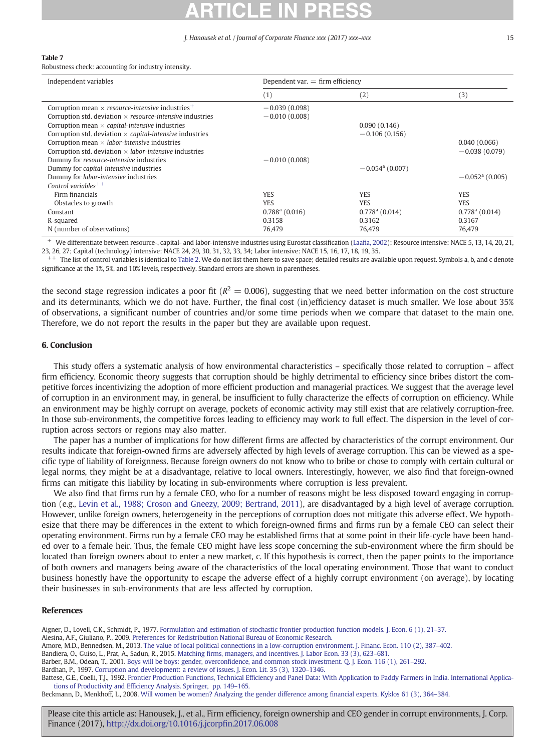### Table 7

Robustness check: accounting for industry intensity.

| Independent variables                                               | Dependent var, $=$ firm efficiency |                               |                               |
|---------------------------------------------------------------------|------------------------------------|-------------------------------|-------------------------------|
|                                                                     | (1)                                | (2)                           | (3)                           |
| Corruption mean $\times$ resource-intensive industries <sup>+</sup> | $-0.039(0.098)$                    |                               |                               |
| Corruption std. deviation $\times$ resource-intensive industries    | $-0.010(0.008)$                    |                               |                               |
| Corruption mean $\times$ capital-intensive industries               |                                    | 0.090(0.146)                  |                               |
| Corruption std. deviation $\times$ capital-intensive industries     |                                    | $-0.106(0.156)$               |                               |
| Corruption mean $\times$ labor-intensive industries                 |                                    |                               | 0.040(0.066)                  |
| Corruption std. deviation $\times$ labor-intensive industries       |                                    |                               | $-0.038(0.079)$               |
| Dummy for resource-intensive industries                             | $-0.010(0.008)$                    |                               |                               |
| Dummy for capital-intensive industries                              |                                    | $-0.054$ <sup>a</sup> (0.007) |                               |
| Dummy for labor-intensive industries                                |                                    |                               | $-0.052$ <sup>a</sup> (0.005) |
| Control variables <sup><math>++</math></sup>                        |                                    |                               |                               |
| Firm financials                                                     | <b>YES</b>                         | <b>YES</b>                    | <b>YES</b>                    |
| Obstacles to growth                                                 | <b>YES</b>                         | <b>YES</b>                    | <b>YES</b>                    |
| Constant                                                            | $0.788a$ (0.016)                   | $0.778a$ (0.014)              | $0.778a$ (0.014)              |
| R-squared                                                           | 0.3158                             | 0.3162                        | 0.3167                        |
| N (number of observations)                                          | 76,479                             | 76.479                        | 76,479                        |

<sup>+</sup> We differentiate between resource-, capital- and labor-intensive industries using Eurostat classification (Laafia, 2002); Resource intensive: NACE 5, 13, 14, 20, 21, 23, 26, 27; Capital (technology) intensive: NACE 24, 29, 30, 31, 32, 33, 34; Labor intensive: NACE 15, 16, 17, 18, 19, 35.

++ The list of control variables is identical to Table 2. We do not list them here to save space; detailed results are available upon request. Symbols a, b, and c denote significance at the 1%, 5%, and 10% levels, respectively. Standard errors are shown in parentheses.

the second stage regression indicates a poor fit ( $R<sup>2</sup> = 0.006$ ), suggesting that we need better information on the cost structure and its determinants, which we do not have. Further, the final cost (in)efficiency dataset is much smaller. We lose about 35% of observations, a significant number of countries and/or some time periods when we compare that dataset to the main one. Therefore, we do not report the results in the paper but they are available upon request.

### 6. Conclusion

This study offers a systematic analysis of how environmental characteristics – specifically those related to corruption – affect firm efficiency. Economic theory suggests that corruption should be highly detrimental to efficiency since bribes distort the competitive forces incentivizing the adoption of more efficient production and managerial practices. We suggest that the average level of corruption in an environment may, in general, be insufficient to fully characterize the effects of corruption on efficiency. While an environment may be highly corrupt on average, pockets of economic activity may still exist that are relatively corruption-free. In those sub-environments, the competitive forces leading to efficiency may work to full effect. The dispersion in the level of corruption across sectors or regions may also matter.

The paper has a number of implications for how different firms are affected by characteristics of the corrupt environment. Our results indicate that foreign-owned firms are adversely affected by high levels of average corruption. This can be viewed as a specific type of liability of foreignness. Because foreign owners do not know who to bribe or chose to comply with certain cultural or legal norms, they might be at a disadvantage, relative to local owners. Interestingly, however, we also find that foreign-owned firms can mitigate this liability by locating in sub-environments where corruption is less prevalent.

We also find that firms run by a female CEO, who for a number of reasons might be less disposed toward engaging in corruption (e.g., Levin et al., 1988; Croson and Gneezy, 2009; Bertrand, 2011), are disadvantaged by a high level of average corruption. However, unlike foreign owners, heterogeneity in the perceptions of corruption does not mitigate this adverse effect. We hypothesize that there may be differences in the extent to which foreign-owned firms and firms run by a female CEO can select their operating environment. Firms run by a female CEO may be established firms that at some point in their life-cycle have been handed over to a female heir. Thus, the female CEO might have less scope concerning the sub-environment where the firm should be located than foreign owners about to enter a new market, c. If this hypothesis is correct, then the paper points to the importance of both owners and managers being aware of the characteristics of the local operating environment. Those that want to conduct business honestly have the opportunity to escape the adverse effect of a highly corrupt environment (on average), by locating their businesses in sub-environments that are less affected by corruption.

### References

Aigner, D., Lovell, C.K., Schmidt, P., 1977. [Formulation and estimation of stochastic frontier production function models. J. Econ. 6 \(1\), 21](http://refhub.elsevier.com/S0929-1199(17)30382-6/rf0005)–37.

Alesina, A.F., Giuliano, P., 2009. [Preferences for Redistribution National Bureau of Economic Research](http://refhub.elsevier.com/S0929-1199(17)30382-6/rf0010).

Amore, M.D., Bennedsen, M., 2013. [The value of local political connections in a low-corruption environment. J. Financ. Econ. 110 \(2\), 387](http://refhub.elsevier.com/S0929-1199(17)30382-6/rf0015)–402.

Bandiera, O., Guiso, L., Prat, A., Sadun, R., 2015. [Matching firms, managers, and incentives. J. Labor Econ. 33 \(3\), 623](http://refhub.elsevier.com/S0929-1199(17)30382-6/rf0020)–681.

Barber, B.M., Odean, T., 2001. [Boys will be boys: gender, overconfidence, and common stock investment. Q. J. Econ. 116 \(1\), 261](http://refhub.elsevier.com/S0929-1199(17)30382-6/rf0025)–292. Bardhan, P., 1997. [Corruption and development: a review of issues. J. Econ. Lit. 35 \(3\), 1320](http://refhub.elsevier.com/S0929-1199(17)30382-6/rf0030)-1346.

Battese, G.E., Coelli, T.J., 1992. [Frontier Production Functions, Technical Efficiency and Panel Data: With Application to Paddy Farmers in India. International Applica-](http://refhub.elsevier.com/S0929-1199(17)30382-6/rf0035)

[tions of Productivity and Efficiency Analysis. Springer, pp. 149](http://refhub.elsevier.com/S0929-1199(17)30382-6/rf0035)–165. Beckmann, D., Menkhoff, L., 2008. [Will women be women? Analyzing the gender difference among financial experts. Kyklos 61 \(3\), 364](http://refhub.elsevier.com/S0929-1199(17)30382-6/rf0040)–384.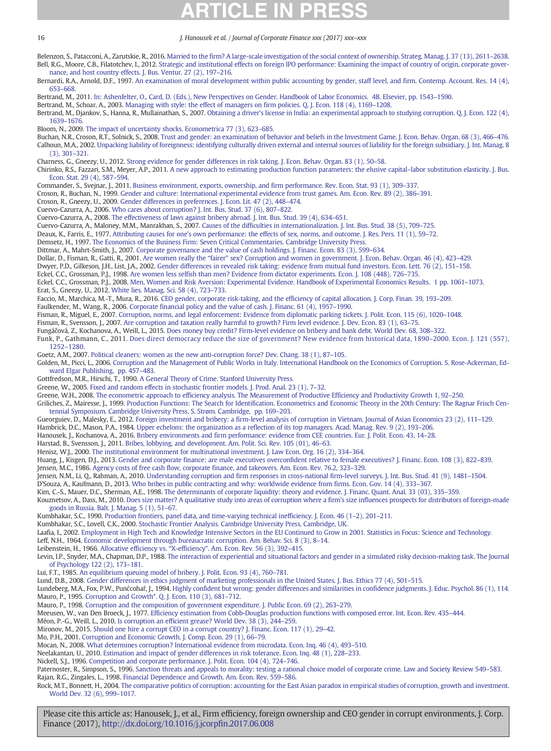## ICI E I

16 J. Hanousek et al. / Journal of Corporate Finance xxx (2017) xxx–xxx

Belenzon, S., Patacconi, A., Zarutskie, R., 2016. [Married to the firm? A large-scale investigation of the social context of ownership. Strateg. Manag. J. 37 \(13\), 2611](http://refhub.elsevier.com/S0929-1199(17)30382-6/rf0045)–2638. Bell, R.G., Moore, C.B., Filatotchev, I., 2012. [Strategic and institutional effects on foreign IPO performance: Examining the impact of country of origin, corporate gover](http://refhub.elsevier.com/S0929-1199(17)30382-6/rf0050)[nance, and host country effects. J. Bus. Ventur. 27 \(2\), 197](http://refhub.elsevier.com/S0929-1199(17)30382-6/rf0050)–216.

Bernardi, R.A., Arnold, D.F., 1997. [An examination of moral development within public accounting by gender, staff level, and firm. Contemp. Account. Res. 14 \(4\),](http://refhub.elsevier.com/S0929-1199(17)30382-6/rf0055) 653–[668.](http://refhub.elsevier.com/S0929-1199(17)30382-6/rf0055)

Bertrand, M., 2011. [In: Ashenfelter, O., Card, D. \(Eds.\), New Perspectives on Gender. Handbook of Labor Economics. 4B. Elsevier, pp. 1543](http://refhub.elsevier.com/S0929-1199(17)30382-6/rf0060)–1590.

Bertrand, M., Schoar, A., 2003. [Managing with style: the effect of managers on firm policies. Q. J. Econ. 118 \(4\), 1169](http://refhub.elsevier.com/S0929-1199(17)30382-6/rf0065)–1208.

Bertrand, M., Djankov, S., Hanna, R., Mullainathan, S., 2007. [Obtaining a driver's license in India: an experimental approach to studying corruption. Q. J. Econ. 122 \(4\),](http://refhub.elsevier.com/S0929-1199(17)30382-6/rf0070) 1639–[1676.](http://refhub.elsevier.com/S0929-1199(17)30382-6/rf0070)

Bloom, N., 2009. [The impact of uncertainty shocks. Econometrica 77 \(3\), 623](http://refhub.elsevier.com/S0929-1199(17)30382-6/rf0075)–685.

Buchan, N.R., Croson, R.T., Solnick, S., 2008. [Trust and gender: an examination of behavior and beliefs in the Investment Game. J. Econ. Behav. Organ. 68 \(3\), 466](http://refhub.elsevier.com/S0929-1199(17)30382-6/rf0080)–476. Calhoun, M.A., 2002. [Unpacking liability of foreignness: identifying culturally driven external and internal sources of liability for the foreign subsidiary. J. Int. Manag. 8](http://refhub.elsevier.com/S0929-1199(17)30382-6/rf0085) [\(3\), 301](http://refhub.elsevier.com/S0929-1199(17)30382-6/rf0085)–321.

Charness, G., Gneezy, U., 2012. [Strong evidence for gender differences in risk taking. J. Econ. Behav. Organ. 83 \(1\), 50](http://refhub.elsevier.com/S0929-1199(17)30382-6/rf0090)–58.

Chirinko, R.S., Fazzari, S.M., Meyer, A.P., 2011. [A new approach to estimating production function parameters: the elusive capital](http://refhub.elsevier.com/S0929-1199(17)30382-6/rf0095)–labor substitution elasticity. J. Bus. [Econ. Stat. 29 \(4\), 587](http://refhub.elsevier.com/S0929-1199(17)30382-6/rf0095)–594.

Commander, S., Svejnar, J., 2011. [Business environment, exports, ownership, and firm performance. Rev. Econ. Stat. 93 \(1\), 309](http://refhub.elsevier.com/S0929-1199(17)30382-6/rf0100)–337.

Croson, R., Buchan, N., 1999. [Gender and culture: International experimental evidence from trust games. Am. Econ. Rev. 89 \(2\), 386](http://refhub.elsevier.com/S0929-1199(17)30382-6/rf0105)–391.

Croson, R., Gneezy, U., 2009. [Gender differences in preferences. J. Econ. Lit. 47 \(2\), 448](http://refhub.elsevier.com/S0929-1199(17)30382-6/rf0110)–474.

Cuervo-Cazurra, A., 2006. [Who cares about corruption? J. Int. Bus. Stud. 37 \(6\), 807](http://refhub.elsevier.com/S0929-1199(17)30382-6/rf0115)–822.

Cuervo-Cazurra, A., 2008. [The effectiveness of laws against bribery abroad. J. Int. Bus. Stud. 39 \(4\), 634](http://refhub.elsevier.com/S0929-1199(17)30382-6/rf0120)–651.

Cuervo-Cazurra, A., Maloney, M.M., Manrakhan, S., 2007. [Causes of the difficulties in internationalization. J. Int. Bus. Stud. 38 \(5\), 709](http://refhub.elsevier.com/S0929-1199(17)30382-6/rf0125)–725.

Deaux, K., Farris, E., 1977. [Attributing causes for one's own performance: the effects of sex, norms, and outcome. J. Res. Pers. 11 \(1\), 59](http://refhub.elsevier.com/S0929-1199(17)30382-6/rf0130)–72.

Demsetz, H., 1997. [The Economics of the Business Firm: Seven Critical Commentaries. Cambridge University Press.](http://refhub.elsevier.com/S0929-1199(17)30382-6/rf0135)

Dittmar, A., Mahrt-Smith, J., 2007. [Corporate governance and the value of cash holdings. J. Financ. Econ. 83 \(3\), 599](http://refhub.elsevier.com/S0929-1199(17)30382-6/rf0140)–634.

Dollar, D., Fisman, R., Gatti, R., 2001. Are women really the "fairer" [sex? Corruption and women in government. J. Econ. Behav. Organ. 46 \(4\), 423](http://refhub.elsevier.com/S0929-1199(17)30382-6/rf0145)–429.

Dwyer, P.D., Gilkeson, J.H., List, J.A., 2002. [Gender differences in revealed risk taking: evidence from mutual fund investors. Econ. Lett. 76 \(2\), 151](http://refhub.elsevier.com/S0929-1199(17)30382-6/rf0150)–158.

Eckel, C.C., Grossman, P.J., 1998. [Are women less selfish than men? Evidence from dictator experiments. Econ. J. 108 \(448\), 726](http://refhub.elsevier.com/S0929-1199(17)30382-6/rf0155)–735.

Eckel, C.C., Grossman, P.J., 2008. [Men, Women and Risk Aversion: Experimental Evidence. Handbook of Experimental Economics Results. 1 pp. 1061](http://refhub.elsevier.com/S0929-1199(17)30382-6/rf0160)–1073. Erat, S., Gneezy, U., 2012. [White lies. Manag. Sci. 58 \(4\), 723](http://refhub.elsevier.com/S0929-1199(17)30382-6/rf0165)–733.

Faccio, M., Marchica, M.-T., Mura, R., 2016. [CEO gender, corporate risk-taking, and the efficiency of capital allocation. J. Corp. Finan. 39, 193](http://refhub.elsevier.com/S0929-1199(17)30382-6/rf0170)–209.

Faulkender, M., Wang, R., 2006. [Corporate financial policy and the value of cash. J. Financ. 61 \(4\), 1957](http://refhub.elsevier.com/S0929-1199(17)30382-6/rf0175)–1990.

Fisman, R., Miguel, E., 2007. [Corruption, norms, and legal enforcement: Evidence from diplomatic parking tickets. J. Polit. Econ. 115 \(6\), 1020](http://refhub.elsevier.com/S0929-1199(17)30382-6/rf0180)–1048.

Fisman, R., Svensson, J., 2007. [Are corruption and taxation really harmful to growth? Firm level evidence. J. Dev. Econ. 83 \(1\), 63](http://refhub.elsevier.com/S0929-1199(17)30382-6/rf0185)–75.

Fungáčová, Z., Kochanova, A., Weill, L., 2015. [Does money buy credit? Firm-level evidence on bribery and bank debt. World Dev. 68, 308](http://refhub.elsevier.com/S0929-1199(17)30382-6/rf0190)–322.

Funk, P., Gathmann, C., 2011. [Does direct democracy reduce the size of government? New evidence from historical data, 1890](http://refhub.elsevier.com/S0929-1199(17)30382-6/rf0195)–2000. Econ. J. 121 (557), [1252](http://refhub.elsevier.com/S0929-1199(17)30382-6/rf0195)–1280.

Goetz, A.M., 2007. [Political cleaners: women as the new anti-corruption force? Dev. Chang. 38 \(1\), 87](http://refhub.elsevier.com/S0929-1199(17)30382-6/rf0200)–105.

Golden, M., Picci, L., 2006. [Corruption and the Management of Public Works in Italy. International Handbook on the Economics of Corruption. S. Rose-Ackerman, Ed](http://refhub.elsevier.com/S0929-1199(17)30382-6/rf0205)[ward Elgar Publishing, pp. 457](http://refhub.elsevier.com/S0929-1199(17)30382-6/rf0205)–483.

Gottfredson, M.R., Hirschi, T., 1990. [A General Theory of Crime. Stanford University Press.](http://refhub.elsevier.com/S0929-1199(17)30382-6/rf0210)

Greene, W., 2005. [Fixed and random effects in stochastic frontier models. J. Prod. Anal. 23 \(1\), 7](http://refhub.elsevier.com/S0929-1199(17)30382-6/rf0215)–32.

Greene, W.H., 2008. [The econometric approach to efficiency analysis. The Measurement of Productive Efficiency and Productivity Growth 1, 92](http://refhub.elsevier.com/S0929-1199(17)30382-6/rf0220)–250.

Griliches, Z., Mairesse, J., 1999. [Production Functions: The Search for Identification. Econometrics and Economic Theory in the 20th Century: The Ragnar Frisch Cen](http://refhub.elsevier.com/S0929-1199(17)30382-6/rf0225)[tennial Symposium. Cambridge University Press, S. Strøm. Cambridge, pp. 169](http://refhub.elsevier.com/S0929-1199(17)30382-6/rf0225)–203.

Gueorguiev, D., Malesky, E., 2012. [Foreign investment and bribery: a firm-level analysis of corruption in Vietnam. Journal of Asian Economics 23 \(2\), 111](http://refhub.elsevier.com/S0929-1199(17)30382-6/rf0230)–129.

Hambrick, D.C., Mason, P.A., 1984. [Upper echelons: the organization as a reflection of its top managers. Acad. Manag. Rev. 9 \(2\), 193](http://refhub.elsevier.com/S0929-1199(17)30382-6/rf0235)–206.

Hanousek, J., Kochanova, A., 2016. [Bribery environments and firm performance: evidence from CEE countries. Eur. J. Polit. Econ. 43, 14](http://refhub.elsevier.com/S0929-1199(17)30382-6/rf0240)–28.

Harstad, B., Svensson, J., 2011. [Bribes, lobbying, and development. Am. Polit. Sci. Rev. 105 \(01\), 46](http://refhub.elsevier.com/S0929-1199(17)30382-6/rf0245)–63.

Henisz, W.J., 2000. [The institutional environment for multinational investment. J. Law Econ. Org. 16 \(2\), 334](http://refhub.elsevier.com/S0929-1199(17)30382-6/rf0250)–364.

Huang, J., Kisgen, D.J., 2013. [Gender and corporate finance: are male executives overconfident relative to female executives? J. Financ. Econ. 108 \(3\), 822](http://refhub.elsevier.com/S0929-1199(17)30382-6/rf0255)-839.

Jensen, M.C., 1986. [Agency costs of free cash flow, corporate finance, and takeovers. Am. Econ. Rev. 76.2, 323](http://refhub.elsevier.com/S0929-1199(17)30382-6/rf9949)–329.

Jensen, N.M., Li, Q., Rahman, A., 2010. [Understanding corruption and firm responses in cross-national firm-level surveys. J. Int. Bus. Stud. 41 \(9\), 1481](http://refhub.elsevier.com/S0929-1199(17)30382-6/rf0260)–1504. D'Souza, A., Kaufmann, D., 2013. [Who bribes in public contracting and why: worldwide evidence from firms. Econ. Gov. 14 \(4\), 333](http://refhub.elsevier.com/S0929-1199(17)30382-6/rf0265)–367.

Kim, C.-S., Mauer, D.C., Sherman, A.E., 1998. [The determinants of corporate liquidity: theory and evidence. J. Financ. Quant. Anal. 33 \(03\), 335](http://refhub.elsevier.com/S0929-1199(17)30382-6/rf0270)-359. Kouznetsov, A., Dass, M., 2010. [Does size matter? A qualitative study into areas of corruption where a firm's size influences prospects for distributors of foreign-made](http://refhub.elsevier.com/S0929-1199(17)30382-6/rf0275)

[goods in Russia. Balt. J. Manag. 5 \(1\), 51](http://refhub.elsevier.com/S0929-1199(17)30382-6/rf0275)–67.

Kumbhakar, S.C., 1990. [Production frontiers, panel data, and time-varying technical inefficiency. J. Econ. 46 \(1](http://refhub.elsevier.com/S0929-1199(17)30382-6/rf0280)–2), 201–211.

Kumbhakar, S.C., Lovell, C.K., 2000. [Stochastic Frontier Analysis. Cambridge University Press, Cambridge, UK](http://refhub.elsevier.com/S0929-1199(17)30382-6/rf0285).

Laafia, I., 2002. [Employment in High Tech and Knowledge Intensive Sectors in the EU Continued to Grow in 2001. Statistics in Focus: Science and Technology.](http://refhub.elsevier.com/S0929-1199(17)30382-6/rf0290) Leff, N.H., 1964. [Economic development through bureaucratic corruption. Am. Behav. Sci. 8 \(3\), 8](http://refhub.elsevier.com/S0929-1199(17)30382-6/rf0295)–14.

Leibenstein, H., 1966. Allocative efficiency vs. "X-efficiency"[. Am. Econ. Rev. 56 \(3\), 392](http://refhub.elsevier.com/S0929-1199(17)30382-6/rf0300)–415.

Levin, I.P., Snyder, M.A., Chapman, D.P., 1988. [The interaction of experiential and situational factors and gender in a simulated risky decision-making task. The Journal](http://refhub.elsevier.com/S0929-1199(17)30382-6/rf0305) [of Psychology 122 \(2\), 173](http://refhub.elsevier.com/S0929-1199(17)30382-6/rf0305)–181.

Lui, F.T., 1985. [An equilibrium queuing model of bribery. J. Polit. Econ. 93 \(4\), 760](http://refhub.elsevier.com/S0929-1199(17)30382-6/rf0310)–781.

Lund, D.B., 2008. [Gender differences in ethics judgment of marketing professionals in the United States. J. Bus. Ethics 77 \(4\), 501](http://refhub.elsevier.com/S0929-1199(17)30382-6/rf0315)–515.

Lundeberg, M.A., Fox, P.W., Punćcohaŕ, J., 1994. [Highly confident but wrong: gender differences and similarities in confidence judgments. J. Educ. Psychol. 86 \(1\), 114.](http://refhub.elsevier.com/S0929-1199(17)30382-6/rf0320) Mauro, P., 1995. [Corruption and Growth\\*. Q. J. Econ. 110 \(3\), 681](http://refhub.elsevier.com/S0929-1199(17)30382-6/rf0325)–712.

Mauro, P., 1998. [Corruption and the composition of government expenditure. J. Public Econ. 69 \(2\), 263](http://refhub.elsevier.com/S0929-1199(17)30382-6/rf0330)–279.

Meeusen, W., van Den Broeck, J., 1977. [Efficiency estimation from Cobb-Douglas production functions with composed error. Int. Econ. Rev. 435](http://refhub.elsevier.com/S0929-1199(17)30382-6/rf0335)–444.

Méon, P.-G., Weill, L., 2010. [Is corruption an efficient grease? World Dev. 38 \(3\), 244](http://refhub.elsevier.com/S0929-1199(17)30382-6/rf0340)–259.

Mironov, M., 2015. [Should one hire a corrupt CEO in a corrupt country? J. Financ. Econ. 117 \(1\), 29](http://refhub.elsevier.com/S0929-1199(17)30382-6/rf0345)–42.

Mo, P.H., 2001. [Corruption and Economic Growth. J. Comp. Econ. 29 \(1\), 66](http://refhub.elsevier.com/S0929-1199(17)30382-6/rf0350)–79.

Mocan, N., 2008. [What determines corruption? International evidence from microdata. Econ. Inq. 46 \(4\), 493](http://refhub.elsevier.com/S0929-1199(17)30382-6/rf0355)–510.

Neelakantan, U., 2010. [Estimation and impact of gender differences in risk tolerance. Econ. Inq. 48 \(1\), 228](http://refhub.elsevier.com/S0929-1199(17)30382-6/rf0360)–233.

Nickell, S.J., 1996. [Competition and corporate performance. J. Polit. Econ. 104 \(4\), 724](http://refhub.elsevier.com/S0929-1199(17)30382-6/rf0365)–746.

Paternoster, R., Simpson, S., 1996. [Sanction threats and appeals to morality: testing a rational choice model of corporate crime. Law and Society Review 549](http://refhub.elsevier.com/S0929-1199(17)30382-6/rf0370)–583.

Rajan, R.G., Zingales, L., 1998. [Financial Dependence and Growth. Am. Econ. Rev. 559](http://refhub.elsevier.com/S0929-1199(17)30382-6/rf0375)–586.

Rock, M.T., Bonnett, H., 2004. [The comparative politics of corruption: accounting for the East Asian paradox in empirical studies of corruption, growth and investment.](http://refhub.elsevier.com/S0929-1199(17)30382-6/rf0380) [World Dev. 32 \(6\), 999](http://refhub.elsevier.com/S0929-1199(17)30382-6/rf0380)–1017.